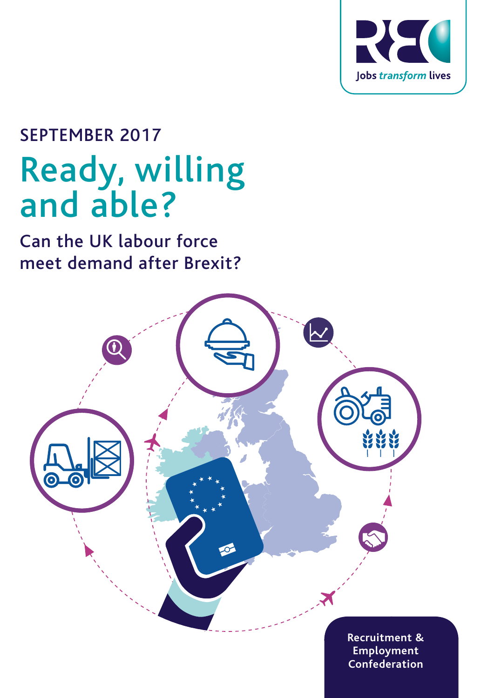

# SEPTEMBER 2017 Ready, willing and able?

Can the UK labour force meet demand after Brexit?

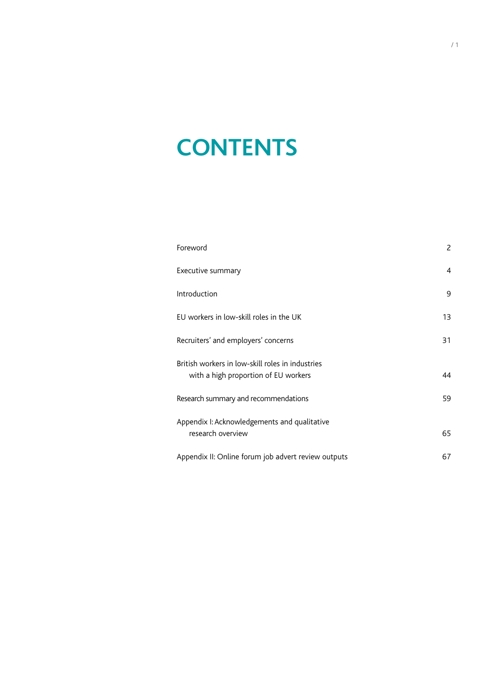# **CONTENTS**

| Foreword                                                                                 | $\overline{c}$ |  |
|------------------------------------------------------------------------------------------|----------------|--|
| Executive summary                                                                        | $\overline{4}$ |  |
| Introduction                                                                             | 9              |  |
| EU workers in low-skill roles in the UK                                                  | 13             |  |
| Recruiters' and employers' concerns                                                      | 31             |  |
| British workers in low-skill roles in industries<br>with a high proportion of EU workers | 44             |  |
| Research summary and recommendations                                                     |                |  |
| Appendix I: Acknowledgements and qualitative<br>research overview                        |                |  |
| Appendix II: Online forum job advert review outputs                                      | 67             |  |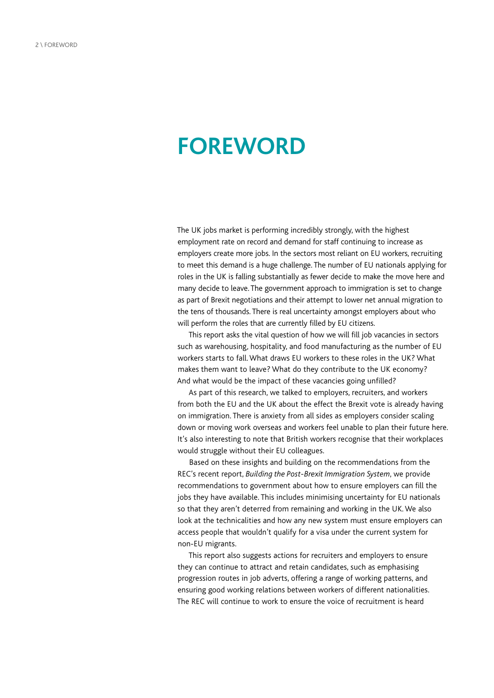## <span id="page-3-0"></span>**FOREWORD**

The UK jobs market is performing incredibly strongly, with the highest employment rate on record and demand for staff continuing to increase as employers create more jobs. In the sectors most reliant on EU workers, recruiting to meet this demand is a huge challenge. The number of EU nationals applying for roles in the UK is falling substantially as fewer decide to make the move here and many decide to leave. The government approach to immigration is set to change as part of Brexit negotiations and their attempt to lower net annual migration to the tens of thousands. There is real uncertainty amongst employers about who will perform the roles that are currently filled by EU citizens.

This report asks the vital question of how we will fill job vacancies in sectors such as warehousing, hospitality, and food manufacturing as the number of EU workers starts to fall. What draws EU workers to these roles in the UK? What makes them want to leave? What do they contribute to the UK economy? And what would be the impact of these vacancies going unfilled?

As part of this research, we talked to employers, recruiters, and workers from both the EU and the UK about the effect the Brexit vote is already having on immigration. There is anxiety from all sides as employers consider scaling down or moving work overseas and workers feel unable to plan their future here. It's also interesting to note that British workers recognise that their workplaces would struggle without their EU colleagues.

Based on these insights and building on the recommendations from the REC's recent report, *Building the Post-Brexit Immigration System*, we provide recommendations to government about how to ensure employers can fill the jobs they have available. This includes minimising uncertainty for EU nationals so that they aren't deterred from remaining and working in the UK. We also look at the technicalities and how any new system must ensure employers can access people that wouldn't qualify for a visa under the current system for non-EU migrants.

This report also suggests actions for recruiters and employers to ensure they can continue to attract and retain candidates, such as emphasising progression routes in job adverts, offering a range of working patterns, and ensuring good working relations between workers of different nationalities. The REC will continue to work to ensure the voice of recruitment is heard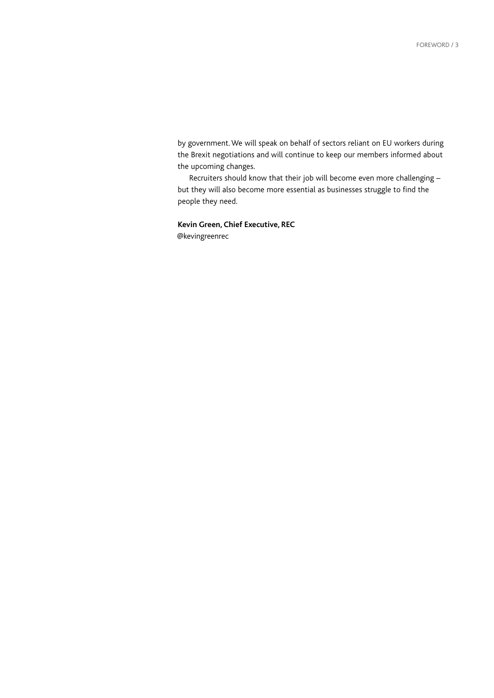by government. We will speak on behalf of sectors reliant on EU workers during the Brexit negotiations and will continue to keep our members informed about the upcoming changes.

Recruiters should know that their job will become even more challenging – but they will also become more essential as businesses struggle to find the people they need.

**Kevin Green, Chief Executive, REC** @kevingreenrec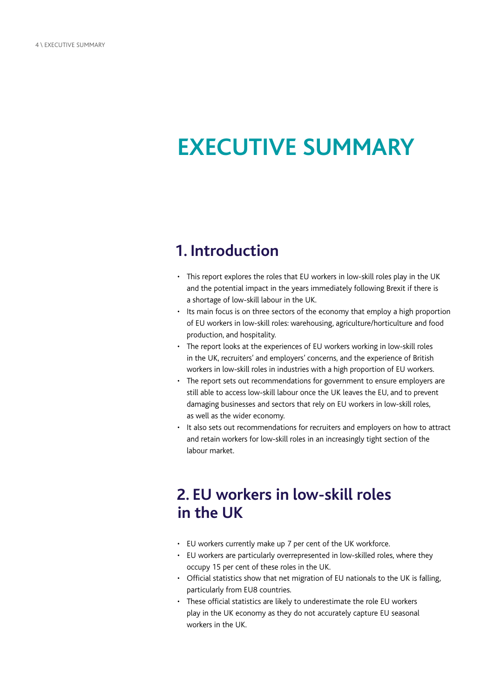# <span id="page-5-0"></span>**EXECUTIVE SUMMARY**

## **1. Introduction**

- This report explores the roles that EU workers in low-skill roles play in the UK and the potential impact in the years immediately following Brexit if there is a shortage of low-skill labour in the UK.
- Its main focus is on three sectors of the economy that employ a high proportion of EU workers in low-skill roles: warehousing, agriculture/horticulture and food production, and hospitality.
- The report looks at the experiences of EU workers working in low-skill roles in the UK, recruiters' and employers' concerns, and the experience of British workers in low-skill roles in industries with a high proportion of EU workers.
- The report sets out recommendations for government to ensure employers are still able to access low-skill labour once the UK leaves the EU, and to prevent damaging businesses and sectors that rely on EU workers in low-skill roles, as well as the wider economy.
- It also sets out recommendations for recruiters and employers on how to attract and retain workers for low-skill roles in an increasingly tight section of the labour market.

## **2. EU workers in low-skill roles in the UK**

- EU workers currently make up 7 per cent of the UK workforce.
- EU workers are particularly overrepresented in low-skilled roles, where they occupy 15 per cent of these roles in the UK.
- Official statistics show that net migration of EU nationals to the UK is falling, particularly from EU8 countries.
- These official statistics are likely to underestimate the role EU workers play in the UK economy as they do not accurately capture EU seasonal workers in the UK.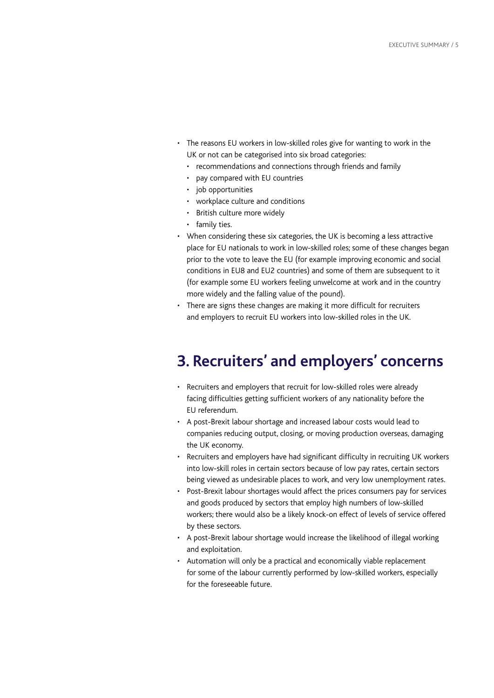- The reasons EU workers in low-skilled roles give for wanting to work in the UK or not can be categorised into six broad categories:
	- recommendations and connections through friends and family
	- pay compared with EU countries
	- job opportunities
	- workplace culture and conditions
	- British culture more widely
	- family ties.
- When considering these six categories, the UK is becoming a less attractive place for EU nationals to work in low-skilled roles; some of these changes began prior to the vote to leave the EU (for example improving economic and social conditions in EU8 and EU2 countries) and some of them are subsequent to it (for example some EU workers feeling unwelcome at work and in the country more widely and the falling value of the pound).
- There are signs these changes are making it more difficult for recruiters and employers to recruit EU workers into low-skilled roles in the UK.

## **3. Recruiters' and employers' concerns**

- Recruiters and employers that recruit for low-skilled roles were already facing difficulties getting sufficient workers of any nationality before the EU referendum.
- A post-Brexit labour shortage and increased labour costs would lead to companies reducing output, closing, or moving production overseas, damaging the UK economy.
- Recruiters and employers have had significant difficulty in recruiting UK workers into low-skill roles in certain sectors because of low pay rates, certain sectors being viewed as undesirable places to work, and very low unemployment rates.
- Post-Brexit labour shortages would affect the prices consumers pay for services and goods produced by sectors that employ high numbers of low-skilled workers; there would also be a likely knock-on effect of levels of service offered by these sectors.
- A post-Brexit labour shortage would increase the likelihood of illegal working and exploitation.
- Automation will only be a practical and economically viable replacement for some of the labour currently performed by low-skilled workers, especially for the foreseeable future.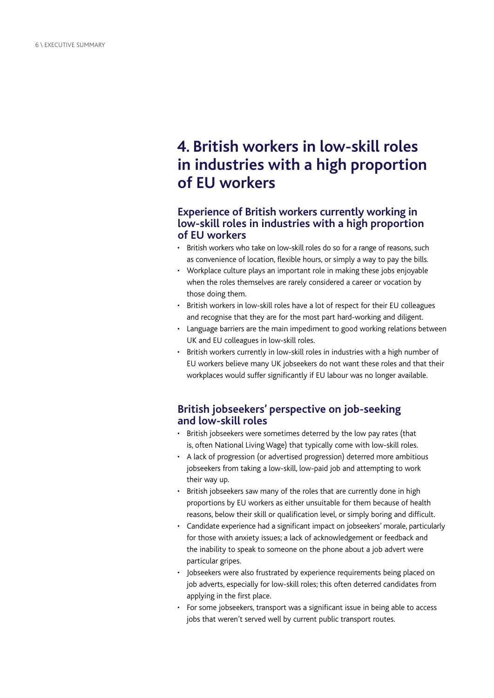## **4. British workers in low-skill roles in industries with a high proportion of EU workers**

#### **Experience of British workers currently working in low-skill roles in industries with a high proportion of EU workers**

- British workers who take on low-skill roles do so for a range of reasons, such as convenience of location, flexible hours, or simply a way to pay the bills.
- Workplace culture plays an important role in making these jobs enjoyable when the roles themselves are rarely considered a career or vocation by those doing them.
- British workers in low-skill roles have a lot of respect for their EU colleagues and recognise that they are for the most part hard-working and diligent.
- Language barriers are the main impediment to good working relations between UK and EU colleagues in low-skill roles.
- British workers currently in low-skill roles in industries with a high number of EU workers believe many UK jobseekers do not want these roles and that their workplaces would suffer significantly if EU labour was no longer available.

#### **British jobseekers' perspective on job-seeking and low-skill roles**

- British jobseekers were sometimes deterred by the low pay rates (that is, often National Living Wage) that typically come with low-skill roles.
- A lack of progression (or advertised progression) deterred more ambitious jobseekers from taking a low-skill, low-paid job and attempting to work their way up.
- British jobseekers saw many of the roles that are currently done in high proportions by EU workers as either unsuitable for them because of health reasons, below their skill or qualification level, or simply boring and difficult.
- Candidate experience had a significant impact on jobseekers' morale, particularly for those with anxiety issues; a lack of acknowledgement or feedback and the inability to speak to someone on the phone about a job advert were particular gripes.
- Jobseekers were also frustrated by experience requirements being placed on job adverts, especially for low-skill roles; this often deterred candidates from applying in the first place.
- For some jobseekers, transport was a significant issue in being able to access jobs that weren't served well by current public transport routes.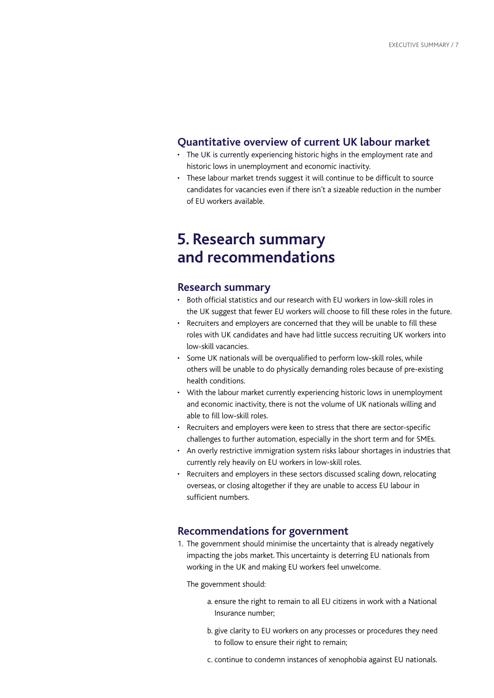#### **Quantitative overview of current UK labour market**

- The UK is currently experiencing historic highs in the employment rate and historic lows in unemployment and economic inactivity.
- These labour market trends suggest it will continue to be difficult to source candidates for vacancies even if there isn't a sizeable reduction in the number of EU workers available.

## **5. Research summary and recommendations**

#### **Research summary**

- Both official statistics and our research with EU workers in low-skill roles in the UK suggest that fewer EU workers will choose to fill these roles in the future.
- Recruiters and employers are concerned that they will be unable to fill these roles with UK candidates and have had little success recruiting UK workers into low-skill vacancies.
- Some UK nationals will be overqualified to perform low-skill roles, while others will be unable to do physically demanding roles because of pre-existing health conditions.
- With the labour market currently experiencing historic lows in unemployment and economic inactivity, there is not the volume of UK nationals willing and able to fill low-skill roles.
- Recruiters and employers were keen to stress that there are sector-specific challenges to further automation, especially in the short term and for SMEs.
- An overly restrictive immigration system risks labour shortages in industries that currently rely heavily on EU workers in low-skill roles.
- Recruiters and employers in these sectors discussed scaling down, relocating overseas, or closing altogether if they are unable to access EU labour in sufficient numbers.

#### **Recommendations for government**

1. The government should minimise the uncertainty that is already negatively impacting the jobs market. This uncertainty is deterring EU nationals from working in the UK and making EU workers feel unwelcome.

The government should:

- a. ensure the right to remain to all EU citizens in work with a National Insurance number;
- b. give clarity to EU workers on any processes or procedures they need to follow to ensure their right to remain;
- c. continue to condemn instances of xenophobia against EU nationals.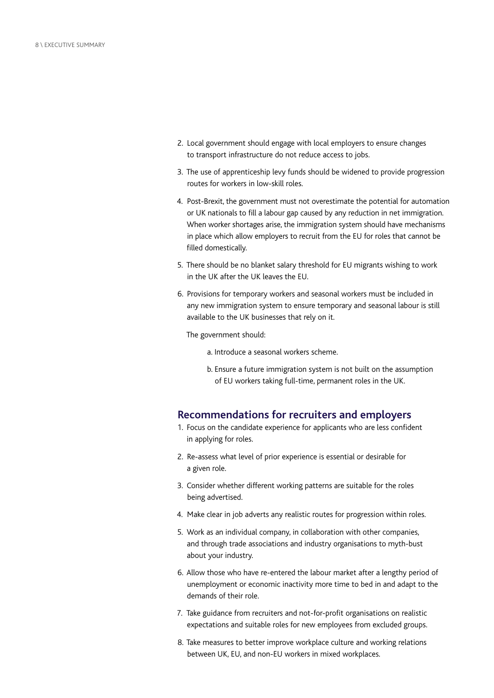- 2. Local government should engage with local employers to ensure changes to transport infrastructure do not reduce access to jobs.
- 3. The use of apprenticeship levy funds should be widened to provide progression routes for workers in low-skill roles.
- 4. Post-Brexit, the government must not overestimate the potential for automation or UK nationals to fill a labour gap caused by any reduction in net immigration. When worker shortages arise, the immigration system should have mechanisms in place which allow employers to recruit from the EU for roles that cannot be filled domestically.
- 5. There should be no blanket salary threshold for EU migrants wishing to work in the UK after the UK leaves the EU.
- 6. Provisions for temporary workers and seasonal workers must be included in any new immigration system to ensure temporary and seasonal labour is still available to the UK businesses that rely on it.

The government should:

- a. Introduce a seasonal workers scheme.
- b. Ensure a future immigration system is not built on the assumption of EU workers taking full-time, permanent roles in the UK.

#### **Recommendations for recruiters and employers**

- 1. Focus on the candidate experience for applicants who are less confident in applying for roles.
- 2. Re-assess what level of prior experience is essential or desirable for a given role.
- 3. Consider whether different working patterns are suitable for the roles being advertised.
- 4. Make clear in job adverts any realistic routes for progression within roles.
- 5. Work as an individual company, in collaboration with other companies, and through trade associations and industry organisations to myth-bust about your industry.
- 6. Allow those who have re-entered the labour market after a lengthy period of unemployment or economic inactivity more time to bed in and adapt to the demands of their role.
- 7. Take guidance from recruiters and not-for-profit organisations on realistic expectations and suitable roles for new employees from excluded groups.
- 8. Take measures to better improve workplace culture and working relations between UK, EU, and non-EU workers in mixed workplaces.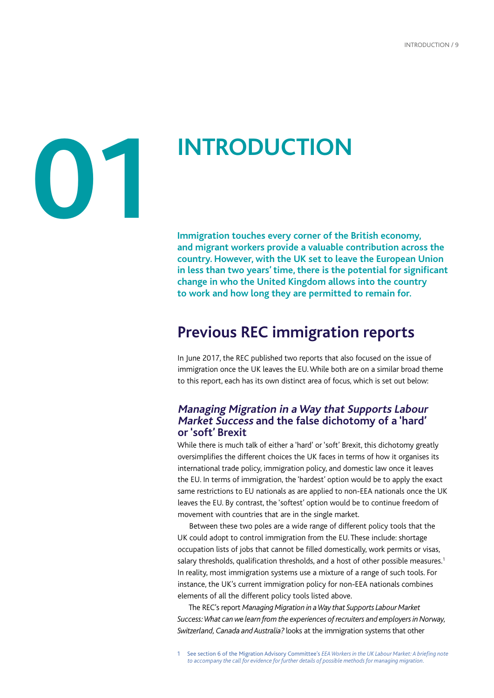# <span id="page-10-0"></span>**01**

# **INTRODUCTION**

**Immigration touches every corner of the British economy, and migrant workers provide a valuable contribution across the country. However, with the UK set to leave the European Union in less than two years' time, there is the potential for significant change in who the United Kingdom allows into the country to work and how long they are permitted to remain for.**

## **Previous REC immigration reports**

In June 2017, the REC published two reports that also focused on the issue of immigration once the UK leaves the EU. While both are on a similar broad theme to this report, each has its own distinct area of focus, which is set out below:

#### **Managing Migration in a Way that Supports Labour Market Success and the false dichotomy of a 'hard' or 'soft' Brexit**

While there is much talk of either a 'hard' or 'soft' Brexit, this dichotomy greatly oversimplifies the different choices the UK faces in terms of how it organises its international trade policy, immigration policy, and domestic law once it leaves the EU. In terms of immigration, the 'hardest' option would be to apply the exact same restrictions to EU nationals as are applied to non-EEA nationals once the UK leaves the EU. By contrast, the 'softest' option would be to continue freedom of movement with countries that are in the single market.

Between these two poles are a wide range of different policy tools that the UK could adopt to control immigration from the EU. These include: shortage occupation lists of jobs that cannot be filled domestically, work permits or visas, salary thresholds, qualification thresholds, and a host of other possible measures.<sup>1</sup> In reality, most immigration systems use a mixture of a range of such tools. For instance, the UK's current immigration policy for non-EEA nationals combines elements of all the different policy tools listed above.

The REC's report *Managing Migration in a Way that Supports Labour Market Success: What can we learn from the experiences of recruiters and employers in Norway, Switzerland, Canada and Australia?* looks at the immigration systems that other

<sup>1</sup> See section 6 of the Migration Advisory Committee's *EEA Workers in the UK Labour Market: A briefing note to accompany the call for evidence for further details of possible methods for managing migration.*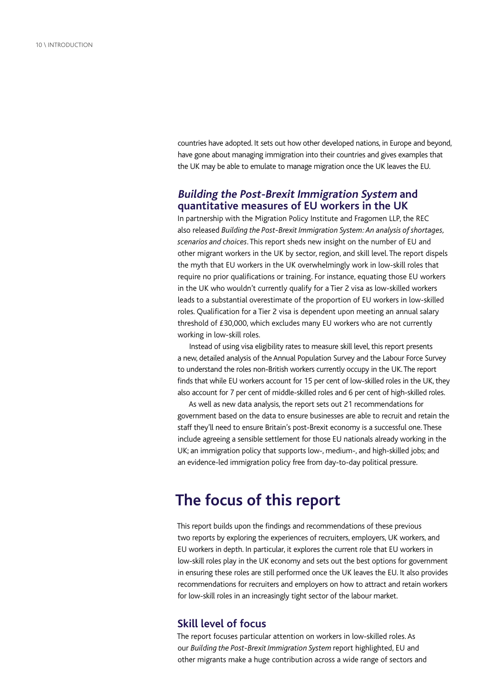countries have adopted. It sets out how other developed nations, in Europe and beyond, have gone about managing immigration into their countries and gives examples that the UK may be able to emulate to manage migration once the UK leaves the EU.

#### **Building the Post-Brexit Immigration System and quantitative measures of EU workers in the UK**

In partnership with the Migration Policy Institute and Fragomen LLP, the REC also released *Building the Post-Brexit Immigration System: An analysis of shortages, scenarios and choices*. This report sheds new insight on the number of EU and other migrant workers in the UK by sector, region, and skill level. The report dispels the myth that EU workers in the UK overwhelmingly work in low-skill roles that require no prior qualifications or training. For instance, equating those EU workers in the UK who wouldn't currently qualify for a Tier 2 visa as low-skilled workers leads to a substantial overestimate of the proportion of EU workers in low-skilled roles. Qualification for a Tier 2 visa is dependent upon meeting an annual salary threshold of £30,000, which excludes many EU workers who are not currently working in low-skill roles.

Instead of using visa eligibility rates to measure skill level, this report presents a new, detailed analysis of the Annual Population Survey and the Labour Force Survey to understand the roles non-British workers currently occupy in the UK. The report finds that while EU workers account for 15 per cent of low-skilled roles in the UK, they also account for 7 per cent of middle-skilled roles and 6 per cent of high-skilled roles.

As well as new data analysis, the report sets out 21 recommendations for government based on the data to ensure businesses are able to recruit and retain the staff they'll need to ensure Britain's post-Brexit economy is a successful one. These include agreeing a sensible settlement for those EU nationals already working in the UK; an immigration policy that supports low-, medium-, and high-skilled jobs; and an evidence-led immigration policy free from day-to-day political pressure.

## **The focus of this report**

This report builds upon the findings and recommendations of these previous two reports by exploring the experiences of recruiters, employers, UK workers, and EU workers in depth. In particular, it explores the current role that EU workers in low-skill roles play in the UK economy and sets out the best options for government in ensuring these roles are still performed once the UK leaves the EU. It also provides recommendations for recruiters and employers on how to attract and retain workers for low-skill roles in an increasingly tight sector of the labour market.

#### **Skill level of focus**

The report focuses particular attention on workers in low-skilled roles. As our *Building the Post-Brexit Immigration System* report highlighted, EU and other migrants make a huge contribution across a wide range of sectors and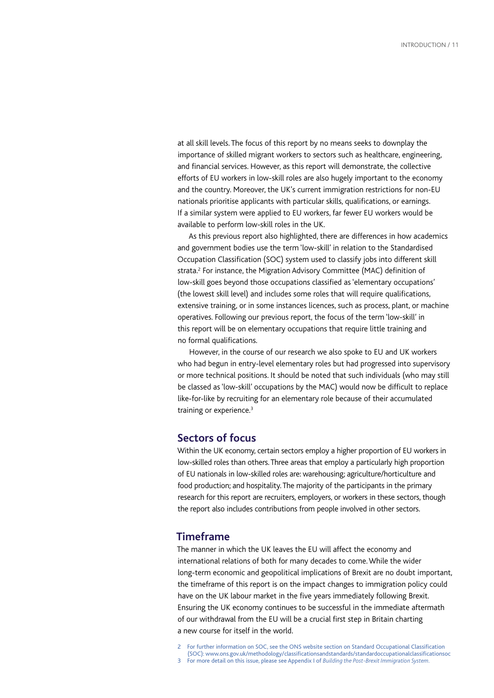at all skill levels. The focus of this report by no means seeks to downplay the importance of skilled migrant workers to sectors such as healthcare, engineering, and financial services. However, as this report will demonstrate, the collective efforts of EU workers in low-skill roles are also hugely important to the economy and the country. Moreover, the UK's current immigration restrictions for non-EU nationals prioritise applicants with particular skills, qualifications, or earnings. If a similar system were applied to EU workers, far fewer EU workers would be available to perform low-skill roles in the UK.

As this previous report also highlighted, there are differences in how academics and government bodies use the term 'low-skill' in relation to the Standardised Occupation Classification (SOC) system used to classify jobs into different skill strata.<sup>2</sup> For instance, the Migration Advisory Committee (MAC) definition of low-skill goes beyond those occupations classified as 'elementary occupations' (the lowest skill level) and includes some roles that will require qualifications, extensive training, or in some instances licences, such as process, plant, or machine operatives. Following our previous report, the focus of the term 'low-skill' in this report will be on elementary occupations that require little training and no formal qualifications.

However, in the course of our research we also spoke to EU and UK workers who had begun in entry-level elementary roles but had progressed into supervisory or more technical positions. It should be noted that such individuals (who may still be classed as 'low-skill' occupations by the MAC) would now be difficult to replace like-for-like by recruiting for an elementary role because of their accumulated training or experience.<sup>3</sup>

#### **Sectors of focus**

Within the UK economy, certain sectors employ a higher proportion of EU workers in low-skilled roles than others. Three areas that employ a particularly high proportion of EU nationals in low-skilled roles are: warehousing; agriculture/horticulture and food production; and hospitality. The majority of the participants in the primary research for this report are recruiters, employers, or workers in these sectors, though the report also includes contributions from people involved in other sectors.

#### **Timeframe**

The manner in which the UK leaves the EU will affect the economy and international relations of both for many decades to come. While the wider long-term economic and geopolitical implications of Brexit are no doubt important, the timeframe of this report is on the impact changes to immigration policy could have on the UK labour market in the five years immediately following Brexit. Ensuring the UK economy continues to be successful in the immediate aftermath of our withdrawal from the EU will be a crucial first step in Britain charting a new course for itself in the world.

- For further information on SOC, see the ONS website section on Standard Occupational Classification (SOC): [www.ons.gov.uk/methodology/classificationsandstandards/standardoccupationalclassificationsoc](http://www.ons.gov.uk/methodology/classificationsandstandards/standardoccupationalclassificationsoc)
- 3 For more detail on this issue, please see Appendix I of *Building the Post-Brexit Immigration System.*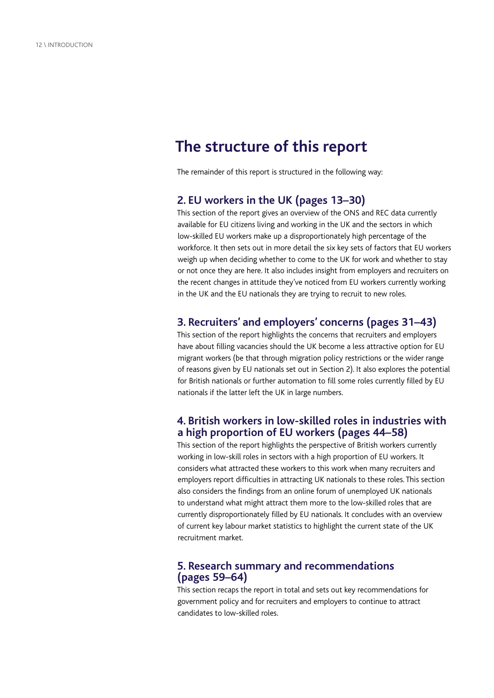## **The structure of this report**

The remainder of this report is structured in the following way:

#### **2. EU workers in the UK (pages 13–30)**

This section of the report gives an overview of the ONS and REC data currently available for EU citizens living and working in the UK and the sectors in which low-skilled EU workers make up a disproportionately high percentage of the workforce. It then sets out in more detail the six key sets of factors that EU workers weigh up when deciding whether to come to the UK for work and whether to stay or not once they are here. It also includes insight from employers and recruiters on the recent changes in attitude they've noticed from EU workers currently working in the UK and the EU nationals they are trying to recruit to new roles.

#### **3. Recruiters' and employers' concerns (pages 31–43)**

This section of the report highlights the concerns that recruiters and employers have about filling vacancies should the UK become a less attractive option for EU migrant workers (be that through migration policy restrictions or the wider range of reasons given by EU nationals set out in Section 2). It also explores the potential for British nationals or further automation to fill some roles currently filled by EU nationals if the latter left the UK in large numbers.

#### **4. British workers in low-skilled roles in industries with a high proportion of EU workers (pages 44–58)**

This section of the report highlights the perspective of British workers currently working in low-skill roles in sectors with a high proportion of EU workers. It considers what attracted these workers to this work when many recruiters and employers report difficulties in attracting UK nationals to these roles. This section also considers the findings from an online forum of unemployed UK nationals to understand what might attract them more to the low-skilled roles that are currently disproportionately filled by EU nationals. It concludes with an overview of current key labour market statistics to highlight the current state of the UK recruitment market.

#### **5. Research summary and recommendations (pages 59–64)**

This section recaps the report in total and sets out key recommendations for government policy and for recruiters and employers to continue to attract candidates to low-skilled roles.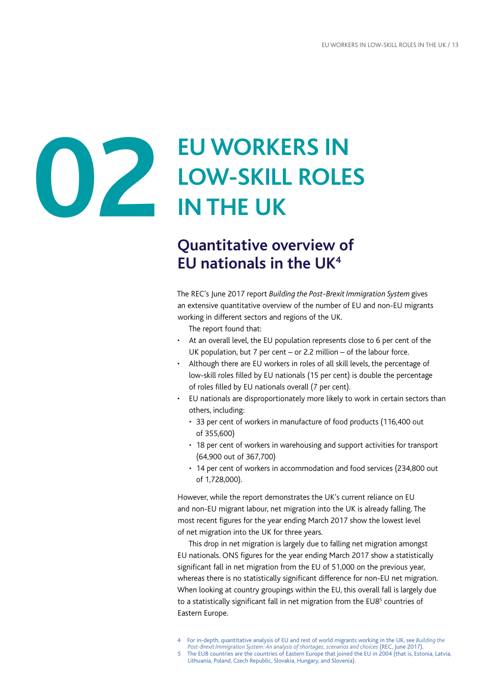<span id="page-14-0"></span>

# **EU WORKERS IN LOW-SKILL ROLES IN THE UK**

## **Quantitative overview of EU nationals in the UK4**

The REC's June 2017 report *Building the Post-Brexit Immigration System* gives an extensive quantitative overview of the number of EU and non-EU migrants working in different sectors and regions of the UK.

The report found that:

- At an overall level, the EU population represents close to 6 per cent of the UK population, but 7 per cent – or 2.2 million – of the labour force.
- Although there are EU workers in roles of all skill levels, the percentage of low-skill roles filled by EU nationals (15 per cent) is double the percentage of roles filled by EU nationals overall (7 per cent).
- EU nationals are disproportionately more likely to work in certain sectors than others, including:
	- 33 per cent of workers in manufacture of food products (116,400 out of 355,600)
	- 18 per cent of workers in warehousing and support activities for transport (64,900 out of 367,700)
	- 14 per cent of workers in accommodation and food services (234,800 out of 1,728,000).

However, while the report demonstrates the UK's current reliance on EU and non-EU migrant labour, net migration into the UK is already falling. The most recent figures for the year ending March 2017 show the lowest level of net migration into the UK for three years.

This drop in net migration is largely due to falling net migration amongst EU nationals. ONS figures for the year ending March 2017 show a statistically significant fall in net migration from the EU of 51,000 on the previous year, whereas there is no statistically significant difference for non-EU net migration. When looking at country groupings within the EU, this overall fall is largely due to a statistically significant fall in net migration from the EU8<sup>5</sup> countries of Eastern Europe.

- 4 For in-depth, quantitative analysis of EU and rest of world migrants working in the UK, see *Building the*
- *Post-Brexit Immigration System: An analysis of shortages, scenarios and choices* (REC, June 2017). The EU8 countries are the countries of Eastern Europe that joined the EU in 2004 (that is, Estonia, Latvia,
- Lithuania, Poland, Czech Republic, Slovakia, Hungary, and Slovenia).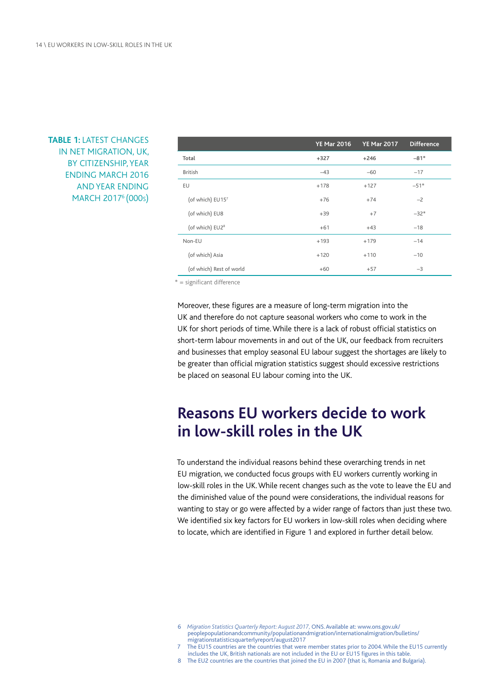#### **TABLE 1:** LATEST CHANGES IN NET MIGRATION, UK, BY CITIZENSHIP, YEAR ENDING MARCH 2016 AND YEAR ENDING MARCH 20176 (000s)

|                             | <b>YE Mar 2016</b> | <b>YE Mar 2017</b> | <b>Difference</b> |
|-----------------------------|--------------------|--------------------|-------------------|
| Total                       | $+327$             | $+246$             | $-81*$            |
| <b>British</b>              | $-43$              | $-60$              | $-17$             |
| EU                          | $+178$             | $+127$             | $-51*$            |
| (of which) EU157            | $+76$              | $+74$              | $-2$              |
| (of which) EU8              | $+39$              | $+7$               | $-32*$            |
| (of which) EU2 <sup>8</sup> | $+61$              | $+43$              | $-18$             |
| Non-EU                      | $+193$             | $+179$             | $-14$             |
| (of which) Asia             | $+120$             | $+110$             | $-10$             |
| (of which) Rest of world    | $+60$              | $+57$              | $-3$              |

\* = significant difference

Moreover, these figures are a measure of long-term migration into the UK and therefore do not capture seasonal workers who come to work in the UK for short periods of time. While there is a lack of robust official statistics on short-term labour movements in and out of the UK, our feedback from recruiters and businesses that employ seasonal EU labour suggest the shortages are likely to be greater than official migration statistics suggest should excessive restrictions be placed on seasonal EU labour coming into the UK.

## **Reasons EU workers decide to work in low-skill roles in the UK**

To understand the individual reasons behind these overarching trends in net EU migration, we conducted focus groups with EU workers currently working in low-skill roles in the UK. While recent changes such as the vote to leave the EU and the diminished value of the pound were considerations, the individual reasons for wanting to stay or go were affected by a wider range of factors than just these two. We identified six key factors for EU workers in low-skill roles when deciding where to locate, which are identified in Figure 1 and explored in further detail below.

- The EU15 countries are the countries that were member states prior to 2004. While the EU15 currently includes the UK, British nationals are not included in the EU or EU15 figures in this table.
- 8 The EU2 countries are the countries that joined the EU in 2007 (that is, Romania and Bulgaria).

<sup>6</sup>  *Migration Statistics Quarterly Report: August 2017,* ONS.Available at: [www.ons.gov.uk/](http://www.ons.gov.uk/peoplepopulationandcommunity/populationandmigration/internationalmigration/bulletins/migrationstatisticsquarterlyreport/august2017) [peoplepopulationandcommunity/populationandmigration/internationalmigration/bulletins/](http://www.ons.gov.uk/peoplepopulationandcommunity/populationandmigration/internationalmigration/bulletins/migrationstatisticsquarterlyreport/august2017) [migrationstatisticsquarterlyreport/august2017](http://www.ons.gov.uk/peoplepopulationandcommunity/populationandmigration/internationalmigration/bulletins/migrationstatisticsquarterlyreport/august2017)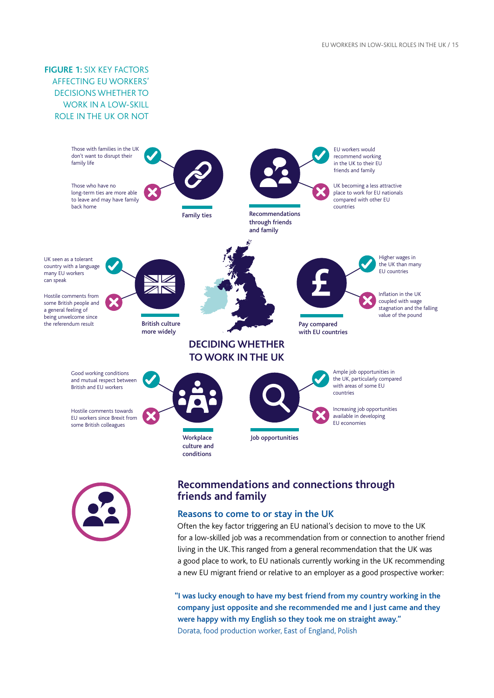**FIGURE 1:** SIX KEY FACTORS AFFECTING EU WORKERS' DECISIONS WHETHER TO WORK IN A LOW-SKILL ROLE IN THE UK OR NOT





#### **Recommendations and connections through friends and family**

#### **Reasons to come to or stay in the UK**

Often the key factor triggering an EU national's decision to move to the UK for a low-skilled job was a recommendation from or connection to another friend living in the UK. This ranged from a general recommendation that the UK was a good place to work, to EU nationals currently working in the UK recommending a new EU migrant friend or relative to an employer as a good prospective worker:

**"I was lucky enough to have my best friend from my country working in the company just opposite and she recommended me and I just came and they were happy with my English so they took me on straight away."** Dorata, food production worker, East of England, Polish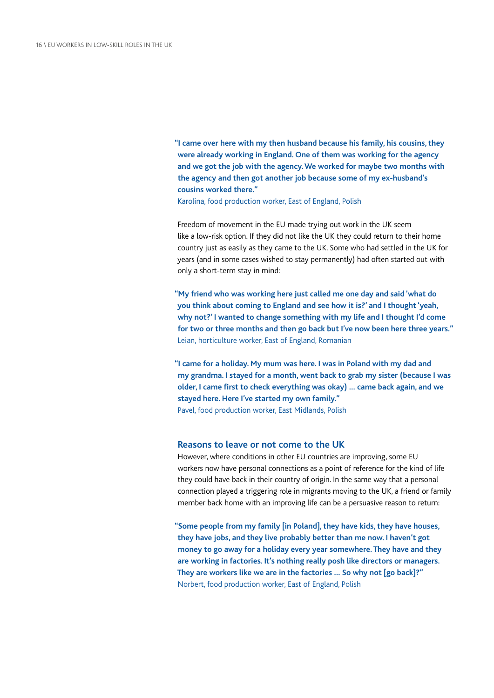**"I came over here with my then husband because his family, his cousins, they were already working in England. One of them was working for the agency and we got the job with the agency. We worked for maybe two months with the agency and then got another job because some of my ex-husband's cousins worked there."**

Karolina, food production worker, East of England, Polish

Freedom of movement in the EU made trying out work in the UK seem like a low-risk option. If they did not like the UK they could return to their home country just as easily as they came to the UK. Some who had settled in the UK for years (and in some cases wished to stay permanently) had often started out with only a short-term stay in mind:

**"My friend who was working here just called me one day and said 'what do you think about coming to England and see how it is?' and I thought 'yeah, why not?' I wanted to change something with my life and I thought I'd come for two or three months and then go back but I've now been here three years."** Leian, horticulture worker, East of England, Romanian

**"I came for a holiday. My mum was here. I was in Poland with my dad and my grandma. I stayed for a month, went back to grab my sister (because I was older, I came first to check everything was okay) … came back again, and we stayed here. Here I've started my own family."** Pavel, food production worker, East Midlands, Polish

#### **Reasons to leave or not come to the UK**

However, where conditions in other EU countries are improving, some EU workers now have personal connections as a point of reference for the kind of life they could have back in their country of origin. In the same way that a personal connection played a triggering role in migrants moving to the UK, a friend or family member back home with an improving life can be a persuasive reason to return:

**"Some people from my family [in Poland], they have kids, they have houses, they have jobs, and they live probably better than me now. I haven't got money to go away for a holiday every year somewhere. They have and they are working in factories. It's nothing really posh like directors or managers. They are workers like we are in the factories … So why not [go back]?"** Norbert, food production worker, East of England, Polish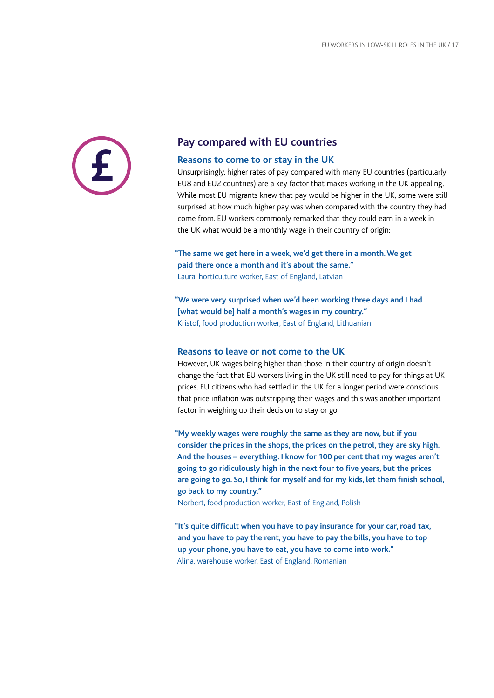#### **Pay compared with EU countries**

#### **Reasons to come to or stay in the UK**

Unsurprisingly, higher rates of pay compared with many EU countries (particularly EU8 and EU2 countries) are a key factor that makes working in the UK appealing. While most EU migrants knew that pay would be higher in the UK, some were still surprised at how much higher pay was when compared with the country they had come from. EU workers commonly remarked that they could earn in a week in the UK what would be a monthly wage in their country of origin:

**"The same we get here in a week, we'd get there in a month. We get paid there once a month and it's about the same."** Laura, horticulture worker, East of England, Latvian

**"We were very surprised when we'd been working three days and I had [what would be] half a month's wages in my country."** Kristof, food production worker, East of England, Lithuanian

#### **Reasons to leave or not come to the UK**

However, UK wages being higher than those in their country of origin doesn't change the fact that EU workers living in the UK still need to pay for things at UK prices. EU citizens who had settled in the UK for a longer period were conscious that price inflation was outstripping their wages and this was another important factor in weighing up their decision to stay or go:

**"My weekly wages were roughly the same as they are now, but if you consider the prices in the shops, the prices on the petrol, they are sky high. And the houses – everything. I know for 100 per cent that my wages aren't going to go ridiculously high in the next four to five years, but the prices are going to go. So, I think for myself and for my kids, let them finish school, go back to my country."**

Norbert, food production worker, East of England, Polish

**"It's quite difficult when you have to pay insurance for your car, road tax, and you have to pay the rent, you have to pay the bills, you have to top up your phone, you have to eat, you have to come into work."** Alina, warehouse worker, East of England, Romanian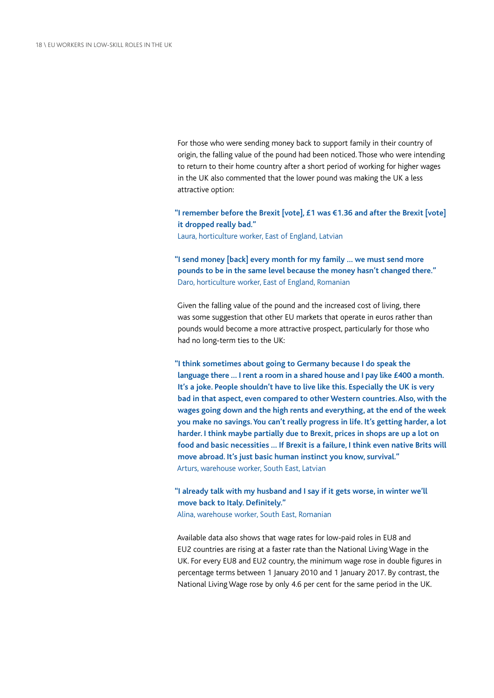For those who were sending money back to support family in their country of origin, the falling value of the pound had been noticed. Those who were intending to return to their home country after a short period of working for higher wages in the UK also commented that the lower pound was making the UK a less attractive option:

**"I remember before the Brexit [vote], £1 was €1.36 and after the Brexit [vote] it dropped really bad."**

Laura, horticulture worker, East of England, Latvian

**"I send money [back] every month for my family … we must send more pounds to be in the same level because the money hasn't changed there."** Daro, horticulture worker, East of England, Romanian

Given the falling value of the pound and the increased cost of living, there was some suggestion that other EU markets that operate in euros rather than pounds would become a more attractive prospect, particularly for those who had no long-term ties to the UK:

**"I think sometimes about going to Germany because I do speak the language there … I rent a room in a shared house and I pay like £400 a month. It's a joke. People shouldn't have to live like this. Especially the UK is very bad in that aspect, even compared to other Western countries. Also, with the wages going down and the high rents and everything, at the end of the week you make no savings. You can't really progress in life. It's getting harder, a lot harder. I think maybe partially due to Brexit, prices in shops are up a lot on food and basic necessities … If Brexit is a failure, I think even native Brits will move abroad. It's just basic human instinct you know, survival."** Arturs, warehouse worker, South East, Latvian

#### **"I already talk with my husband and I say if it gets worse, in winter we'll move back to Italy. Definitely."** Alina, warehouse worker, South East, Romanian

Available data also shows that wage rates for low-paid roles in EU8 and EU2 countries are rising at a faster rate than the National Living Wage in the UK. For every EU8 and EU2 country, the minimum wage rose in double figures in percentage terms between 1 January 2010 and 1 January 2017. By contrast, the National Living Wage rose by only 4.6 per cent for the same period in the UK.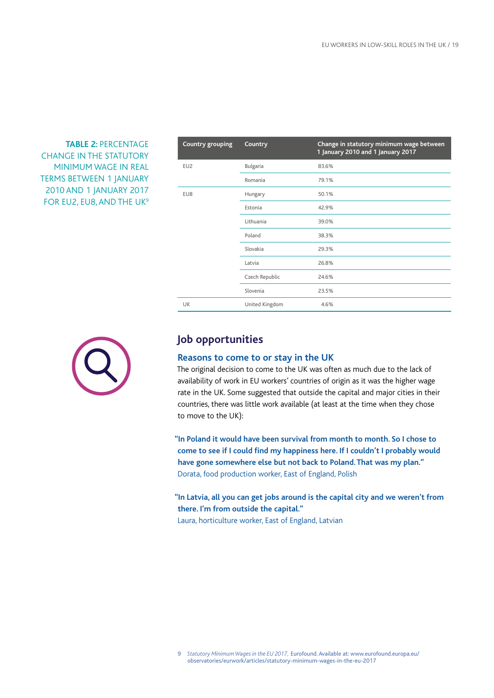#### **TABLE 2:** PERCENTAGE CHANGE IN THE STATUTORY MINIMUM WAGE IN REAL TERMS BETWEEN 1 JANUARY 2010 AND 1 JANUARY 2017 FOR EU2, EU8, AND THE UK<sup>9</sup>

| Country grouping | Country        | Change in statutory minimum wage between<br>1 January 2010 and 1 January 2017 |
|------------------|----------------|-------------------------------------------------------------------------------|
| EU <sub>2</sub>  | Bulgaria       | 83.6%                                                                         |
|                  | Romania        | 79.1%                                                                         |
| EU8              | Hungary        | 50.1%                                                                         |
|                  | Estonia        | 42.9%                                                                         |
|                  | Lithuania      | 39.0%                                                                         |
|                  | Poland         | 38.3%                                                                         |
|                  | Slovakia       | 29.3%                                                                         |
|                  | Latvia         | 26.8%                                                                         |
|                  | Czech Republic | 24.6%                                                                         |
|                  | Slovenia       | 23.5%                                                                         |
| <b>UK</b>        | United Kingdom | 4.6%                                                                          |



#### **Job opportunities**

#### **Reasons to come to or stay in the UK**

The original decision to come to the UK was often as much due to the lack of availability of work in EU workers' countries of origin as it was the higher wage rate in the UK. Some suggested that outside the capital and major cities in their countries, there was little work available (at least at the time when they chose to move to the UK):

**"In Poland it would have been survival from month to month. So I chose to come to see if I could find my happiness here. If I couldn't I probably would have gone somewhere else but not back to Poland. That was my plan."** Dorata, food production worker, East of England, Polish

**"In Latvia, all you can get jobs around is the capital city and we weren't from there. I'm from outside the capital."**

Laura, horticulture worker, East of England, Latvian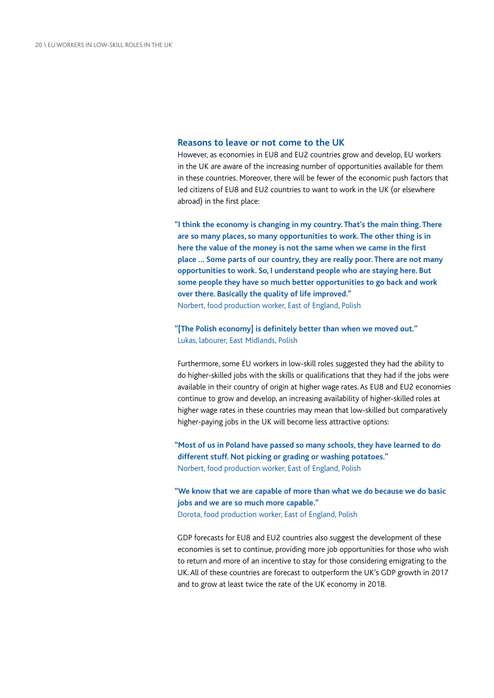#### **Reasons to leave or not come to the UK**

However, as economies in EU8 and EU2 countries grow and develop, EU workers in the UK are aware of the increasing number of opportunities available for them in these countries. Moreover, there will be fewer of the economic push factors that led citizens of EU8 and EU2 countries to want to work in the UK (or elsewhere abroad) in the first place:

**"I think the economy is changing in my country. That's the main thing. There are so many places, so many opportunities to work. The other thing is in here the value of the money is not the same when we came in the first place … Some parts of our country, they are really poor. There are not many opportunities to work. So, I understand people who are staying here. But some people they have so much better opportunities to go back and work over there. Basically the quality of life improved."** Norbert, food production worker, East of England, Polish

#### **"[The Polish economy] is definitely better than when we moved out."** Lukas, labourer, East Midlands, Polish

Furthermore, some EU workers in low-skill roles suggested they had the ability to do higher-skilled jobs with the skills or qualifications that they had if the jobs were available in their country of origin at higher wage rates. As EU8 and EU2 economies continue to grow and develop, an increasing availability of higher-skilled roles at higher wage rates in these countries may mean that low-skilled but comparatively higher-paying jobs in the UK will become less attractive options:

**"Most of us in Poland have passed so many schools, they have learned to do different stuff. Not picking or grading or washing potatoes."** Norbert, food production worker, East of England, Polish

**"We know that we are capable of more than what we do because we do basic jobs and we are so much more capable."** Dorota, food production worker, East of England, Polish

GDP forecasts for EU8 and EU2 countries also suggest the development of these economies is set to continue, providing more job opportunities for those who wish to return and more of an incentive to stay for those considering emigrating to the UK. All of these countries are forecast to outperform the UK's GDP growth in 2017 and to grow at least twice the rate of the UK economy in 2018.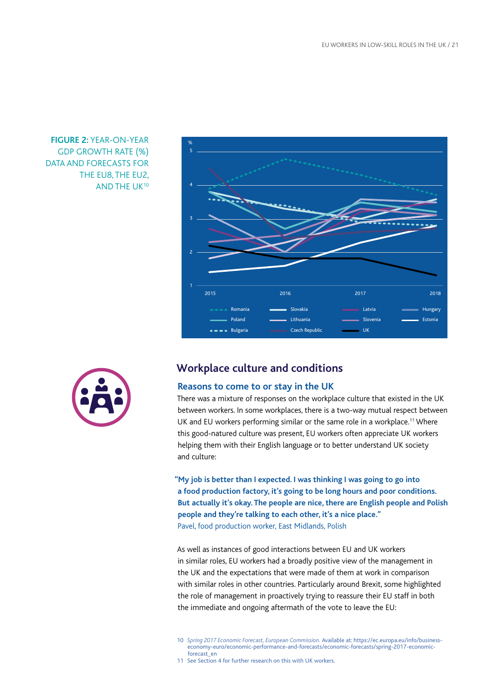

#### **FIGURE 2:** YEAR-ON-YEAR GDP GROWTH RATE (%) DATA AND FORECASTS FOR THE EU8, THE EU2, AND THE UK10



#### **Workplace culture and conditions**

#### **Reasons to come to or stay in the UK**

There was a mixture of responses on the workplace culture that existed in the UK between workers. In some workplaces, there is a two-way mutual respect between UK and EU workers performing similar or the same role in a workplace.<sup>11</sup> Where this good-natured culture was present, EU workers often appreciate UK workers helping them with their English language or to better understand UK society and culture:

**"My job is better than I expected. I was thinking I was going to go into a food production factory, it's going to be long hours and poor conditions. But actually it's okay. The people are nice, there are English people and Polish people and they're talking to each other, it's a nice place."** Pavel, food production worker, East Midlands, Polish

As well as instances of good interactions between EU and UK workers in similar roles, EU workers had a broadly positive view of the management in the UK and the expectations that were made of them at work in comparison with similar roles in other countries. Particularly around Brexit, some highlighted the role of management in proactively trying to reassure their EU staff in both the immediate and ongoing aftermath of the vote to leave the EU:

11 See Section 4 for further research on this with UK workers.

<sup>10</sup> *Spring 2017 Economic Forecast, European Commission.* Available at: [https://ec.europa.eu/info/business](https://ec.europa.eu/info/business-economy-euro/economic-performance-and-forecasts/economic-forecasts/spring-2017-economic-forecast_en)[economy-euro/economic-performance-and-forecasts/economic-forecasts/spring-2017-economic](https://ec.europa.eu/info/business-economy-euro/economic-performance-and-forecasts/economic-forecasts/spring-2017-economic-forecast_en)[forecast\\_en](https://ec.europa.eu/info/business-economy-euro/economic-performance-and-forecasts/economic-forecasts/spring-2017-economic-forecast_en)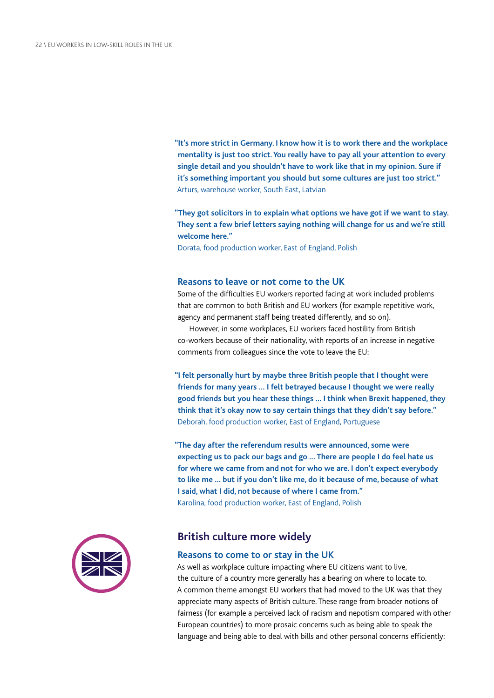**"It's more strict in Germany. I know how it is to work there and the workplace mentality is just too strict. You really have to pay all your attention to every single detail and you shouldn't have to work like that in my opinion. Sure if it's something important you should but some cultures are just too strict."** Arturs, warehouse worker, South East, Latvian

**"They got solicitors in to explain what options we have got if we want to stay. They sent a few brief letters saying nothing will change for us and we're still welcome here."**

Dorata, food production worker, East of England, Polish

#### **Reasons to leave or not come to the UK**

Some of the difficulties EU workers reported facing at work included problems that are common to both British and EU workers (for example repetitive work, agency and permanent staff being treated differently, and so on).

However, in some workplaces, EU workers faced hostility from British co-workers because of their nationality, with reports of an increase in negative comments from colleagues since the vote to leave the EU:

**"I felt personally hurt by maybe three British people that I thought were friends for many years … I felt betrayed because I thought we were really good friends but you hear these things … I think when Brexit happened, they think that it's okay now to say certain things that they didn't say before."** Deborah, food production worker, East of England, Portuguese

**"The day after the referendum results were announced, some were expecting us to pack our bags and go … There are people I do feel hate us for where we came from and not for who we are. I don't expect everybody to like me … but if you don't like me, do it because of me, because of what I said, what I did, not because of where I came from."** Karolina, food production worker, East of England, Polish



#### **British culture more widely**

#### **Reasons to come to or stay in the UK**

As well as workplace culture impacting where EU citizens want to live, the culture of a country more generally has a bearing on where to locate to. A common theme amongst EU workers that had moved to the UK was that they appreciate many aspects of British culture. These range from broader notions of fairness (for example a perceived lack of racism and nepotism compared with other European countries) to more prosaic concerns such as being able to speak the language and being able to deal with bills and other personal concerns efficiently: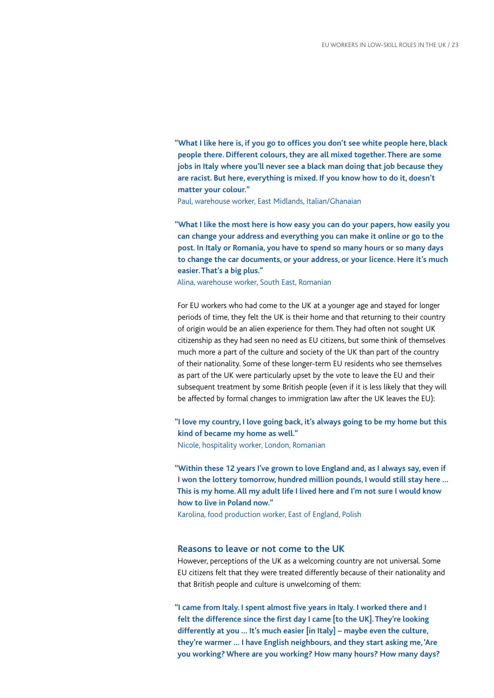**"What I like here is, if you go to offices you don't see white people here, black people there. Different colours, they are all mixed together. There are some jobs in Italy where you'll never see a black man doing that job because they are racist. But here, everything is mixed. If you know how to do it, doesn't matter your colour."**

Paul, warehouse worker, East Midlands, Italian/Ghanaian

**"What I like the most here is how easy you can do your papers, how easily you can change your address and everything you can make it online or go to the post. In Italy or Romania, you have to spend so many hours or so many days to change the car documents, or your address, or your licence. Here it's much easier. That's a big plus."**

Alina, warehouse worker, South East, Romanian

For EU workers who had come to the UK at a younger age and stayed for longer periods of time, they felt the UK is their home and that returning to their country of origin would be an alien experience for them. They had often not sought UK citizenship as they had seen no need as EU citizens, but some think of themselves much more a part of the culture and society of the UK than part of the country of their nationality. Some of these longer-term EU residents who see themselves as part of the UK were particularly upset by the vote to leave the EU and their subsequent treatment by some British people (even if it is less likely that they will be affected by formal changes to immigration law after the UK leaves the EU):

**"I love my country, I love going back, it's always going to be my home but this kind of became my home as well."** Nicole, hospitality worker, London, Romanian

**"Within these 12 years I've grown to love England and, as I always say, even if I won the lottery tomorrow, hundred million pounds, I would still stay here … This is my home. All my adult life I lived here and I'm not sure I would know how to live in Poland now."** Karolina, food production worker, East of England, Polish

#### **Reasons to leave or not come to the UK**

However, perceptions of the UK as a welcoming country are not universal. Some EU citizens felt that they were treated differently because of their nationality and that British people and culture is unwelcoming of them:

**"I came from Italy. I spent almost five years in Italy. I worked there and I felt the difference since the first day I came [to the UK]. They're looking differently at you … It's much easier [in Italy] – maybe even the culture, they're warmer … I have English neighbours, and they start asking me, 'Are you working? Where are you working? How many hours? How many days?**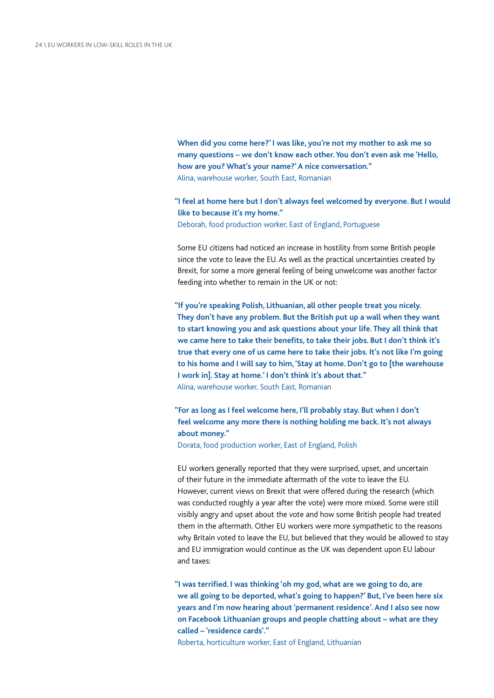**When did you come here?' I was like, you're not my mother to ask me so many questions – we don't know each other. You don't even ask me 'Hello, how are you? What's your name?' A nice conversation."** Alina, warehouse worker, South East, Romanian

**"I feel at home here but I don't always feel welcomed by everyone. But I would like to because it's my home."** Deborah, food production worker, East of England, Portuguese

Some EU citizens had noticed an increase in hostility from some British people since the vote to leave the EU. As well as the practical uncertainties created by Brexit, for some a more general feeling of being unwelcome was another factor feeding into whether to remain in the UK or not:

**"If you're speaking Polish, Lithuanian, all other people treat you nicely. They don't have any problem. But the British put up a wall when they want to start knowing you and ask questions about your life. They all think that we came here to take their benefits, to take their jobs. But I don't think it's true that every one of us came here to take their jobs. It's not like I'm going to his home and I will say to him, 'Stay at home. Don't go to [the warehouse I work in]. Stay at home.' I don't think it's about that."** Alina, warehouse worker, South East, Romanian

**"For as long as I feel welcome here, I'll probably stay. But when I don't feel welcome any more there is nothing holding me back. It's not always about money."**

Dorata, food production worker, East of England, Polish

EU workers generally reported that they were surprised, upset, and uncertain of their future in the immediate aftermath of the vote to leave the EU. However, current views on Brexit that were offered during the research (which was conducted roughly a year after the vote) were more mixed. Some were still visibly angry and upset about the vote and how some British people had treated them in the aftermath. Other EU workers were more sympathetic to the reasons why Britain voted to leave the EU, but believed that they would be allowed to stay and EU immigration would continue as the UK was dependent upon EU labour and taxes:

**"I was terrified. I was thinking 'oh my god, what are we going to do, are we all going to be deported, what's going to happen?' But, I've been here six years and I'm now hearing about 'permanent residence'. And I also see now on Facebook Lithuanian groups and people chatting about – what are they called – 'residence cards'."**

Roberta, horticulture worker, East of England, Lithuanian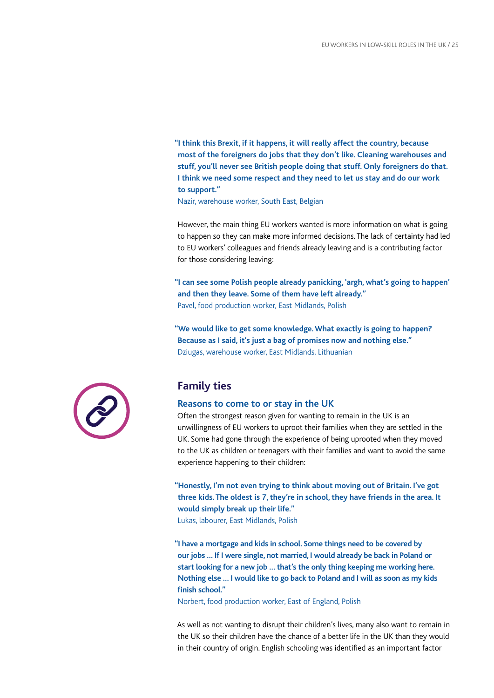**"I think this Brexit, if it happens, it will really affect the country, because most of the foreigners do jobs that they don't like. Cleaning warehouses and stuff, you'll never see British people doing that stuff. Only foreigners do that. I think we need some respect and they need to let us stay and do our work to support."**

Nazir, warehouse worker, South East, Belgian

However, the main thing EU workers wanted is more information on what is going to happen so they can make more informed decisions. The lack of certainty had led to EU workers' colleagues and friends already leaving and is a contributing factor for those considering leaving:

**"I can see some Polish people already panicking, 'argh, what's going to happen' and then they leave. Some of them have left already."** Pavel, food production worker, East Midlands, Polish

**"We would like to get some knowledge. What exactly is going to happen? Because as I said, it's just a bag of promises now and nothing else."** Dziugas, warehouse worker, East Midlands, Lithuanian



#### **Reasons to come to or stay in the UK**

Often the strongest reason given for wanting to remain in the UK is an unwillingness of EU workers to uproot their families when they are settled in the UK. Some had gone through the experience of being uprooted when they moved to the UK as children or teenagers with their families and want to avoid the same experience happening to their children:

**"Honestly, I'm not even trying to think about moving out of Britain. I've got three kids. The oldest is 7, they're in school, they have friends in the area. It would simply break up their life."**

Lukas, labourer, East Midlands, Polish

**"I have a mortgage and kids in school. Some things need to be covered by our jobs … If I were single, not married, I would already be back in Poland or start looking for a new job … that's the only thing keeping me working here. Nothing else … I would like to go back to Poland and I will as soon as my kids finish school."**

Norbert, food production worker, East of England, Polish

As well as not wanting to disrupt their children's lives, many also want to remain in the UK so their children have the chance of a better life in the UK than they would in their country of origin. English schooling was identified as an important factor

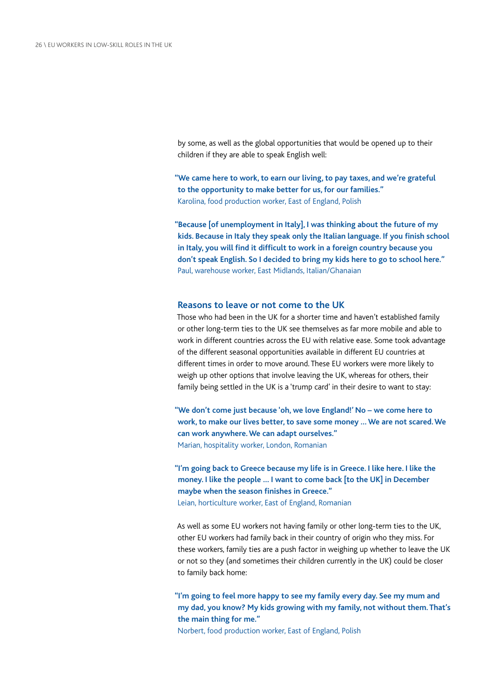by some, as well as the global opportunities that would be opened up to their children if they are able to speak English well:

**"We came here to work, to earn our living, to pay taxes, and we're grateful to the opportunity to make better for us, for our families."** Karolina, food production worker, East of England, Polish

**"Because [of unemployment in Italy], I was thinking about the future of my kids. Because in Italy they speak only the Italian language. If you finish school in Italy, you will find it difficult to work in a foreign country because you don't speak English. So I decided to bring my kids here to go to school here."** Paul, warehouse worker, East Midlands, Italian/Ghanaian

#### **Reasons to leave or not come to the UK**

Those who had been in the UK for a shorter time and haven't established family or other long-term ties to the UK see themselves as far more mobile and able to work in different countries across the EU with relative ease. Some took advantage of the different seasonal opportunities available in different EU countries at different times in order to move around. These EU workers were more likely to weigh up other options that involve leaving the UK, whereas for others, their family being settled in the UK is a 'trump card' in their desire to want to stay:

**"We don't come just because 'oh, we love England!' No – we come here to work, to make our lives better, to save some money … We are not scared. We can work anywhere. We can adapt ourselves."** Marian, hospitality worker, London, Romanian

**"I'm going back to Greece because my life is in Greece. I like here. I like the money. I like the people … I want to come back [to the UK] in December maybe when the season finishes in Greece."** Leian, horticulture worker, East of England, Romanian

As well as some EU workers not having family or other long-term ties to the UK, other EU workers had family back in their country of origin who they miss. For these workers, family ties are a push factor in weighing up whether to leave the UK or not so they (and sometimes their children currently in the UK) could be closer to family back home:

**"I'm going to feel more happy to see my family every day. See my mum and my dad, you know? My kids growing with my family, not without them. That's the main thing for me."**

Norbert, food production worker, East of England, Polish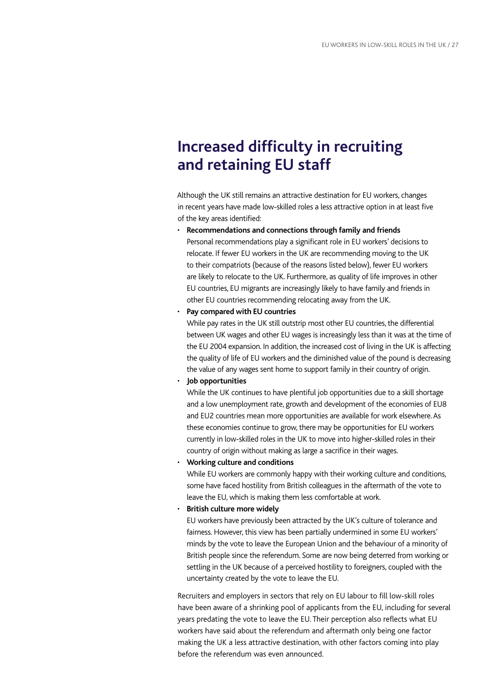## **Increased difficulty in recruiting and retaining EU staff**

Although the UK still remains an attractive destination for EU workers, changes in recent years have made low-skilled roles a less attractive option in at least five of the key areas identified:

• **Recommendations and connections through family and friends** Personal recommendations play a significant role in EU workers' decisions to relocate. If fewer EU workers in the UK are recommending moving to the UK to their compatriots (because of the reasons listed below), fewer EU workers are likely to relocate to the UK. Furthermore, as quality of life improves in other EU countries, EU migrants are increasingly likely to have family and friends in other EU countries recommending relocating away from the UK.

#### • **Pay compared with EU countries**

While pay rates in the UK still outstrip most other EU countries, the differential between UK wages and other EU wages is increasingly less than it was at the time of the EU 2004 expansion. In addition, the increased cost of living in the UK is affecting the quality of life of EU workers and the diminished value of the pound is decreasing the value of any wages sent home to support family in their country of origin.

#### • **Job opportunities**

While the UK continues to have plentiful job opportunities due to a skill shortage and a low unemployment rate, growth and development of the economies of EU8 and EU2 countries mean more opportunities are available for work elsewhere. As these economies continue to grow, there may be opportunities for EU workers currently in low-skilled roles in the UK to move into higher-skilled roles in their country of origin without making as large a sacrifice in their wages.

#### • **Working culture and conditions**

While EU workers are commonly happy with their working culture and conditions, some have faced hostility from British colleagues in the aftermath of the vote to leave the EU, which is making them less comfortable at work.

#### • **British culture more widely**

EU workers have previously been attracted by the UK's culture of tolerance and fairness. However, this view has been partially undermined in some EU workers' minds by the vote to leave the European Union and the behaviour of a minority of British people since the referendum. Some are now being deterred from working or settling in the UK because of a perceived hostility to foreigners, coupled with the uncertainty created by the vote to leave the EU.

Recruiters and employers in sectors that rely on EU labour to fill low-skill roles have been aware of a shrinking pool of applicants from the EU, including for several years predating the vote to leave the EU. Their perception also reflects what EU workers have said about the referendum and aftermath only being one factor making the UK a less attractive destination, with other factors coming into play before the referendum was even announced.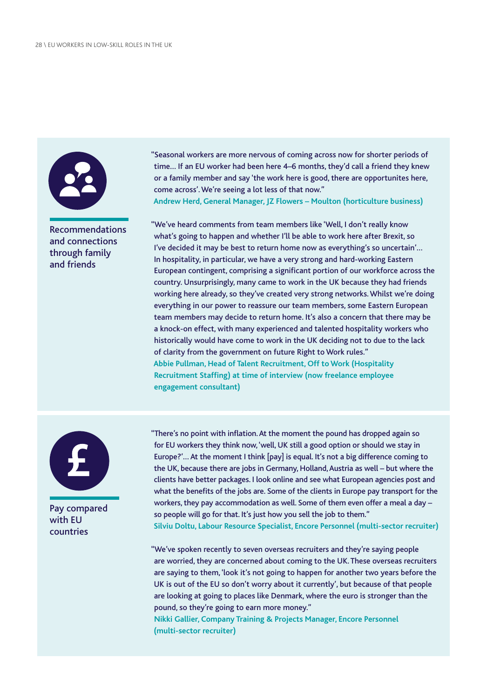

#### Recommendations and connections through family and friends

"Seasonal workers are more nervous of coming across now for shorter periods of time… If an EU worker had been here 4–6 months, they'd call a friend they knew or a family member and say 'the work here is good, there are opportunites here, come across'. We're seeing a lot less of that now." **Andrew Herd, General Manager, JZ Flowers – Moulton (horticulture business)**

"We've heard comments from team members like 'Well, I don't really know what's going to happen and whether I'll be able to work here after Brexit, so I've decided it may be best to return home now as everything's so uncertain'… In hospitality, in particular, we have a very strong and hard-working Eastern European contingent, comprising a significant portion of our workforce across the country. Unsurprisingly, many came to work in the UK because they had friends working here already, so they've created very strong networks. Whilst we're doing everything in our power to reassure our team members, some Eastern European team members may decide to return home. It's also a concern that there may be a knock-on effect, with many experienced and talented hospitality workers who historically would have come to work in the UK deciding not to due to the lack of clarity from the government on future Right to Work rules." **Abbie Pullman, Head of Talent Recruitment, Off to Work (Hospitality Recruitment Staffing) at time of interview (now freelance employee engagement consultant)**



Pay compared with EU countries

"There's no point with inflation. At the moment the pound has dropped again so for EU workers they think now, 'well, UK still a good option or should we stay in Europe?'… At the moment I think [pay] is equal. It's not a big difference coming to the UK, because there are jobs in Germany, Holland, Austria as well – but where the clients have better packages. I look online and see what European agencies post and what the benefits of the jobs are. Some of the clients in Europe pay transport for the workers, they pay accommodation as well. Some of them even offer a meal a day – so people will go for that. It's just how you sell the job to them." **Silviu Doltu, Labour Resource Specialist, Encore Personnel (multi-sector recruiter)**

"We've spoken recently to seven overseas recruiters and they're saying people are worried, they are concerned about coming to the UK. These overseas recruiters are saying to them, 'look it's not going to happen for another two years before the UK is out of the EU so don't worry about it currently', but because of that people are looking at going to places like Denmark, where the euro is stronger than the pound, so they're going to earn more money."

**Nikki Gallier, Company Training & Projects Manager, Encore Personnel (multi-sector recruiter)**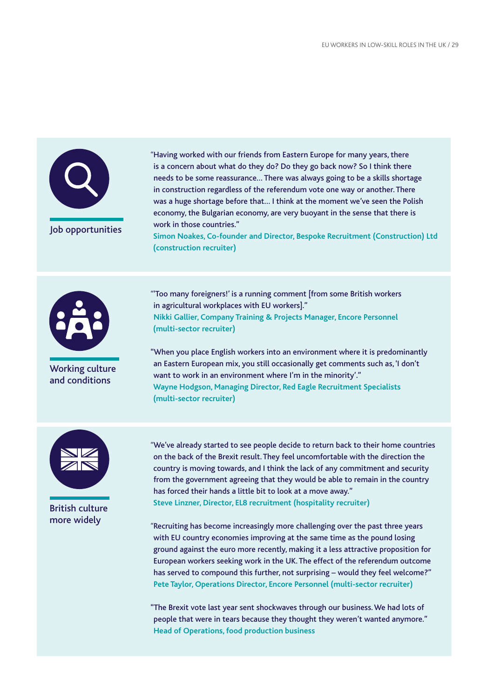

*"*Having worked with our friends from Eastern Europe for many years, there is a concern about what do they do? Do they go back now? So I think there needs to be some reassurance… There was always going to be a skills shortage in construction regardless of the referendum vote one way or another. There was a huge shortage before that… I think at the moment we've seen the Polish economy, the Bulgarian economy, are very buoyant in the sense that there is work in those countries."

**Simon Noakes, Co-founder and Director, Bespoke Recruitment (Construction) Ltd (construction recruiter)**



Working culture and conditions

*"*'Too many foreigners!' is a running comment [from some British workers in agricultural workplaces with EU workers]." **Nikki Gallier, Company Training & Projects Manager, Encore Personnel (multi-sector recruiter)**

"When you place English workers into an environment where it is predominantly an Eastern European mix, you still occasionally get comments such as, 'I don't want to work in an environment where I'm in the minority'." **Wayne Hodgson, Managing Director, Red Eagle Recruitment Specialists (multi-sector recruiter)**



British culture more widely

*"*We've already started to see people decide to return back to their home countries on the back of the Brexit result. They feel uncomfortable with the direction the country is moving towards, and I think the lack of any commitment and security from the government agreeing that they would be able to remain in the country has forced their hands a little bit to look at a move away." **Steve Linzner, Director, EL8 recruitment (hospitality recruiter)**

*"*Recruiting has become increasingly more challenging over the past three years with EU country economies improving at the same time as the pound losing ground against the euro more recently, making it a less attractive proposition for European workers seeking work in the UK. The effect of the referendum outcome has served to compound this further, not surprising – would they feel welcome?" **Pete Taylor, Operations Director, Encore Personnel (multi-sector recruiter)**

"The Brexit vote last year sent shockwaves through our business. We had lots of people that were in tears because they thought they weren't wanted anymore." **Head of Operations, food production business**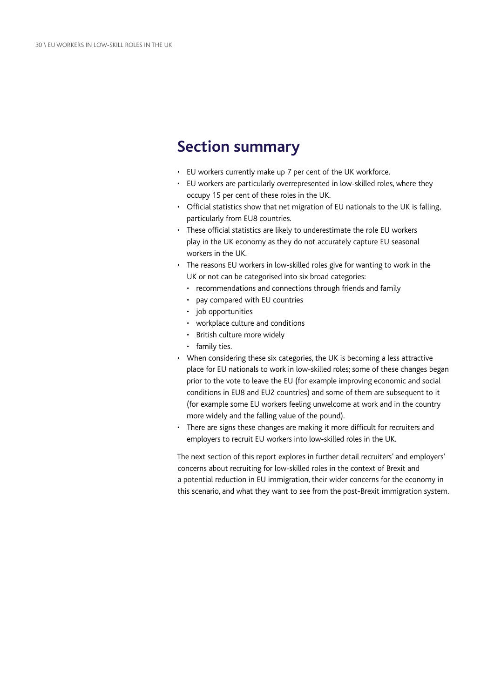## **Section summary**

- EU workers currently make up 7 per cent of the UK workforce.
- EU workers are particularly overrepresented in low-skilled roles, where they occupy 15 per cent of these roles in the UK.
- Official statistics show that net migration of EU nationals to the UK is falling, particularly from EU8 countries.
- These official statistics are likely to underestimate the role EU workers play in the UK economy as they do not accurately capture EU seasonal workers in the UK.
- The reasons EU workers in low-skilled roles give for wanting to work in the UK or not can be categorised into six broad categories:
	- recommendations and connections through friends and family
	- pay compared with EU countries
	- job opportunities
	- workplace culture and conditions
	- British culture more widely
	- family ties.
- When considering these six categories, the UK is becoming a less attractive place for EU nationals to work in low-skilled roles; some of these changes began prior to the vote to leave the EU (for example improving economic and social conditions in EU8 and EU2 countries) and some of them are subsequent to it (for example some EU workers feeling unwelcome at work and in the country more widely and the falling value of the pound).
- There are signs these changes are making it more difficult for recruiters and employers to recruit EU workers into low-skilled roles in the UK.

The next section of this report explores in further detail recruiters' and employers' concerns about recruiting for low-skilled roles in the context of Brexit and a potential reduction in EU immigration, their wider concerns for the economy in this scenario, and what they want to see from the post-Brexit immigration system.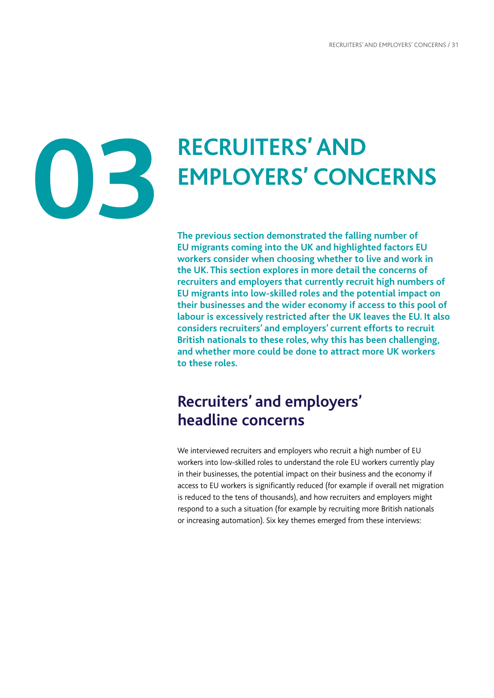# <span id="page-32-0"></span>**03**

# **RECRUITERS' AND EMPLOYERS' CONCERNS**

**The previous section demonstrated the falling number of EU migrants coming into the UK and highlighted factors EU workers consider when choosing whether to live and work in the UK. This section explores in more detail the concerns of recruiters and employers that currently recruit high numbers of EU migrants into low-skilled roles and the potential impact on their businesses and the wider economy if access to this pool of labour is excessively restricted after the UK leaves the EU. It also considers recruiters' and employers' current efforts to recruit British nationals to these roles, why this has been challenging, and whether more could be done to attract more UK workers to these roles.**

## **Recruiters' and employers' headline concerns**

We interviewed recruiters and employers who recruit a high number of EU workers into low-skilled roles to understand the role EU workers currently play in their businesses, the potential impact on their business and the economy if access to EU workers is significantly reduced (for example if overall net migration is reduced to the tens of thousands), and how recruiters and employers might respond to a such a situation (for example by recruiting more British nationals or increasing automation). Six key themes emerged from these interviews: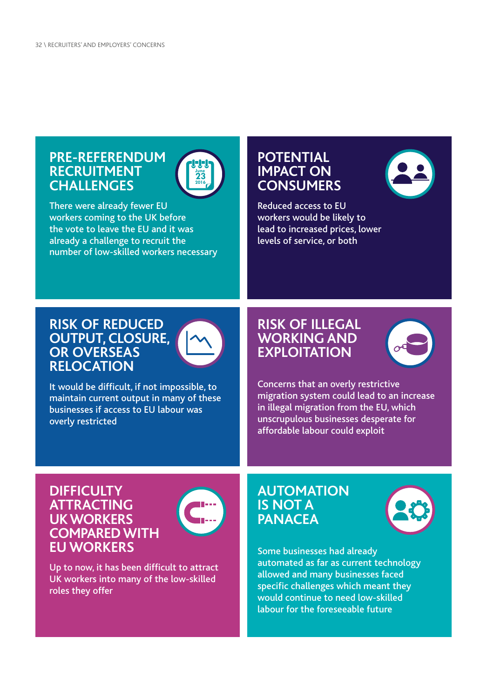## **PRE-REFERENDUM RECRUITMENT CHALLENGES**



There were already fewer EU workers coming to the UK before the vote to leave the EU and it was already a challenge to recruit the number of low-skilled workers necessary

## **POTENTIAL IMPACT ON CONSUMERS**

Reduced access to EU workers would be likely to lead to increased prices, lower levels of service, or both

## **RISK OF REDUCED OUTPUT, CLOSURE, OR OVERSEAS RELOCATION**



It would be difficult, if not impossible, to maintain current output in many of these businesses if access to EU labour was overly restricted

## **RISK OF ILLEGAL WORKING AND EXPLOITATION**



Concerns that an overly restrictive migration system could lead to an increase in illegal migration from the EU, which unscrupulous businesses desperate for affordable labour could exploit

### **DIFFICULTY ATTRACTING UK WORKERS COMPARED WITH EU WORKERS**



Up to now, it has been difficult to attract UK workers into many of the low-skilled roles they offer

## **AUTOMATION IS NOT A PANACEA**



Some businesses had already automated as far as current technology allowed and many businesses faced specific challenges which meant they would continue to need low-skilled labour for the foreseeable future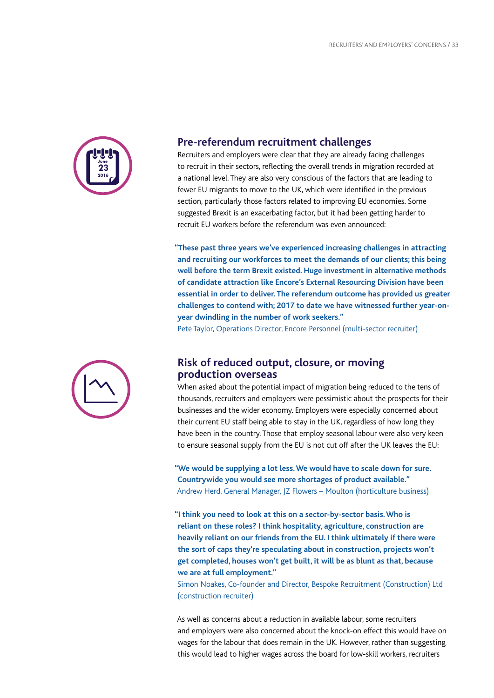

#### **Pre-referendum recruitment challenges**

Recruiters and employers were clear that they are already facing challenges to recruit in their sectors, reflecting the overall trends in migration recorded at a national level. They are also very conscious of the factors that are leading to fewer EU migrants to move to the UK, which were identified in the previous section, particularly those factors related to improving EU economies. Some suggested Brexit is an exacerbating factor, but it had been getting harder to recruit EU workers before the referendum was even announced:

**"These past three years we've experienced increasing challenges in attracting and recruiting our workforces to meet the demands of our clients; this being well before the term Brexit existed. Huge investment in alternative methods of candidate attraction like Encore's External Resourcing Division have been essential in order to deliver. The referendum outcome has provided us greater challenges to contend with; 2017 to date we have witnessed further year-onyear dwindling in the number of work seekers."**

Pete Taylor, Operations Director, Encore Personnel (multi-sector recruiter)



#### **Risk of reduced output, closure, or moving production overseas**

When asked about the potential impact of migration being reduced to the tens of thousands, recruiters and employers were pessimistic about the prospects for their businesses and the wider economy. Employers were especially concerned about their current EU staff being able to stay in the UK, regardless of how long they have been in the country. Those that employ seasonal labour were also very keen to ensure seasonal supply from the EU is not cut off after the UK leaves the EU:

**"We would be supplying a lot less. We would have to scale down for sure. Countrywide you would see more shortages of product available."** Andrew Herd, General Manager, JZ Flowers – Moulton (horticulture business)

**"I think you need to look at this on a sector-by-sector basis. Who is reliant on these roles? I think hospitality, agriculture, construction are heavily reliant on our friends from the EU. I think ultimately if there were the sort of caps they're speculating about in construction, projects won't get completed, houses won't get built, it will be as blunt as that, because we are at full employment."**

Simon Noakes, Co-founder and Director, Bespoke Recruitment (Construction) Ltd (construction recruiter)

As well as concerns about a reduction in available labour, some recruiters and employers were also concerned about the knock-on effect this would have on wages for the labour that does remain in the UK. However, rather than suggesting this would lead to higher wages across the board for low-skill workers, recruiters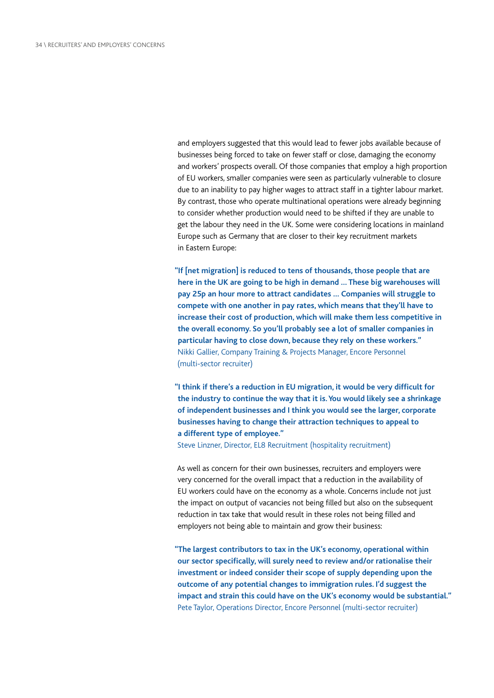and employers suggested that this would lead to fewer jobs available because of businesses being forced to take on fewer staff or close, damaging the economy and workers' prospects overall. Of those companies that employ a high proportion of EU workers, smaller companies were seen as particularly vulnerable to closure due to an inability to pay higher wages to attract staff in a tighter labour market. By contrast, those who operate multinational operations were already beginning to consider whether production would need to be shifted if they are unable to get the labour they need in the UK. Some were considering locations in mainland Europe such as Germany that are closer to their key recruitment markets in Eastern Europe:

**"If [net migration] is reduced to tens of thousands, those people that are here in the UK are going to be high in demand … These big warehouses will pay 25p an hour more to attract candidates … Companies will struggle to compete with one another in pay rates, which means that they'll have to increase their cost of production, which will make them less competitive in the overall economy. So you'll probably see a lot of smaller companies in particular having to close down, because they rely on these workers."** Nikki Gallier, Company Training & Projects Manager, Encore Personnel (multi-sector recruiter)

**"I think if there's a reduction in EU migration, it would be very difficult for the industry to continue the way that it is. You would likely see a shrinkage of independent businesses and I think you would see the larger, corporate businesses having to change their attraction techniques to appeal to a different type of employee."**

Steve Linzner, Director, EL8 Recruitment (hospitality recruitment)

As well as concern for their own businesses, recruiters and employers were very concerned for the overall impact that a reduction in the availability of EU workers could have on the economy as a whole. Concerns include not just the impact on output of vacancies not being filled but also on the subsequent reduction in tax take that would result in these roles not being filled and employers not being able to maintain and grow their business:

**"The largest contributors to tax in the UK's economy, operational within our sector specifically, will surely need to review and/or rationalise their investment or indeed consider their scope of supply depending upon the outcome of any potential changes to immigration rules. I'd suggest the impact and strain this could have on the UK's economy would be substantial."** Pete Taylor, Operations Director, Encore Personnel (multi-sector recruiter)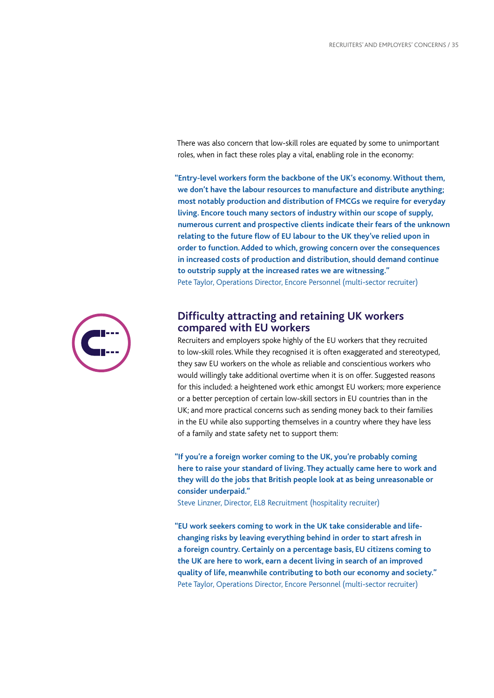There was also concern that low-skill roles are equated by some to unimportant roles, when in fact these roles play a vital, enabling role in the economy:

**"Entry-level workers form the backbone of the UK's economy. Without them, we don't have the labour resources to manufacture and distribute anything; most notably production and distribution of FMCGs we require for everyday living. Encore touch many sectors of industry within our scope of supply, numerous current and prospective clients indicate their fears of the unknown relating to the future flow of EU labour to the UK they've relied upon in order to function. Added to which, growing concern over the consequences in increased costs of production and distribution, should demand continue to outstrip supply at the increased rates we are witnessing."** Pete Taylor, Operations Director, Encore Personnel (multi-sector recruiter)



### **Difficulty attracting and retaining UK workers compared with EU workers**

Recruiters and employers spoke highly of the EU workers that they recruited to low-skill roles. While they recognised it is often exaggerated and stereotyped, they saw EU workers on the whole as reliable and conscientious workers who would willingly take additional overtime when it is on offer. Suggested reasons for this included: a heightened work ethic amongst EU workers; more experience or a better perception of certain low-skill sectors in EU countries than in the UK; and more practical concerns such as sending money back to their families in the EU while also supporting themselves in a country where they have less of a family and state safety net to support them:

**"If you're a foreign worker coming to the UK, you're probably coming here to raise your standard of living. They actually came here to work and they will do the jobs that British people look at as being unreasonable or consider underpaid."**

Steve Linzner, Director, EL8 Recruitment (hospitality recruiter)

**"EU work seekers coming to work in the UK take considerable and lifechanging risks by leaving everything behind in order to start afresh in a foreign country. Certainly on a percentage basis, EU citizens coming to the UK are here to work, earn a decent living in search of an improved quality of life, meanwhile contributing to both our economy and society."** Pete Taylor, Operations Director, Encore Personnel (multi-sector recruiter)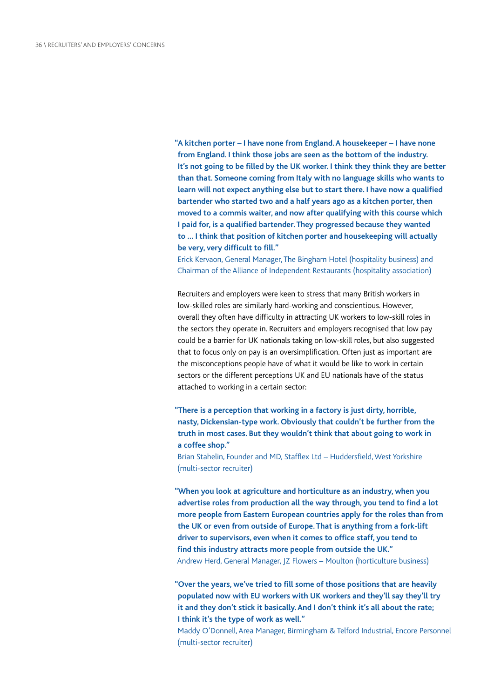**"A kitchen porter – I have none from England. A housekeeper – I have none from England. I think those jobs are seen as the bottom of the industry. It's not going to be filled by the UK worker. I think they think they are better than that. Someone coming from Italy with no language skills who wants to learn will not expect anything else but to start there. I have now a qualified bartender who started two and a half years ago as a kitchen porter, then moved to a commis waiter, and now after qualifying with this course which I paid for, is a qualified bartender. They progressed because they wanted to … I think that position of kitchen porter and housekeeping will actually be very, very difficult to fill."**

Erick Kervaon, General Manager, The Bingham Hotel (hospitality business) and Chairman of the Alliance of Independent Restaurants (hospitality association)

Recruiters and employers were keen to stress that many British workers in low-skilled roles are similarly hard-working and conscientious. However, overall they often have difficulty in attracting UK workers to low-skill roles in the sectors they operate in. Recruiters and employers recognised that low pay could be a barrier for UK nationals taking on low-skill roles, but also suggested that to focus only on pay is an oversimplification. Often just as important are the misconceptions people have of what it would be like to work in certain sectors or the different perceptions UK and EU nationals have of the status attached to working in a certain sector:

**"There is a perception that working in a factory is just dirty, horrible, nasty, Dickensian-type work. Obviously that couldn't be further from the truth in most cases. But they wouldn't think that about going to work in a coffee shop."**

Brian Stahelin, Founder and MD, Stafflex Ltd – Huddersfield, West Yorkshire (multi-sector recruiter)

**"When you look at agriculture and horticulture as an industry, when you advertise roles from production all the way through, you tend to find a lot more people from Eastern European countries apply for the roles than from the UK or even from outside of Europe. That is anything from a fork-lift driver to supervisors, even when it comes to office staff, you tend to find this industry attracts more people from outside the UK."** Andrew Herd, General Manager, JZ Flowers – Moulton (horticulture business)

**"Over the years, we've tried to fill some of those positions that are heavily populated now with EU workers with UK workers and they'll say they'll try it and they don't stick it basically. And I don't think it's all about the rate; I think it's the type of work as well."**

Maddy O'Donnell, Area Manager, Birmingham & Telford Industrial, Encore Personnel (multi-sector recruiter)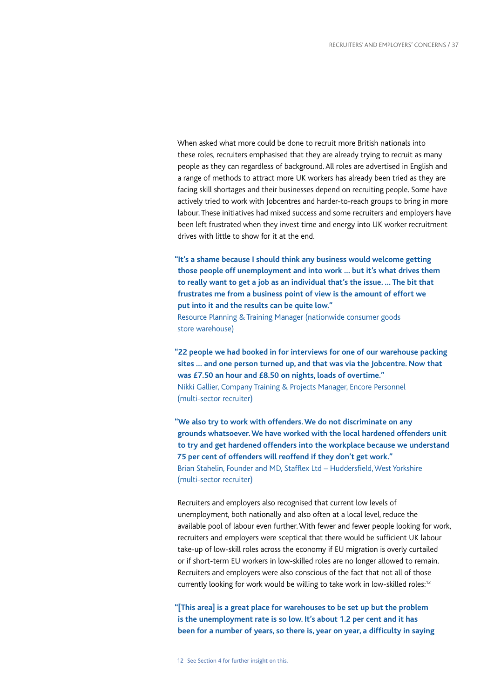When asked what more could be done to recruit more British nationals into these roles, recruiters emphasised that they are already trying to recruit as many people as they can regardless of background. All roles are advertised in English and a range of methods to attract more UK workers has already been tried as they are facing skill shortages and their businesses depend on recruiting people. Some have actively tried to work with Jobcentres and harder-to-reach groups to bring in more labour. These initiatives had mixed success and some recruiters and employers have been left frustrated when they invest time and energy into UK worker recruitment drives with little to show for it at the end.

**"It's a shame because I should think any business would welcome getting those people off unemployment and into work … but it's what drives them to really want to get a job as an individual that's the issue. … The bit that frustrates me from a business point of view is the amount of effort we put into it and the results can be quite low."**

Resource Planning & Training Manager (nationwide consumer goods store warehouse)

**"22 people we had booked in for interviews for one of our warehouse packing sites … and one person turned up, and that was via the Jobcentre. Now that was £7.50 an hour and £8.50 on nights, loads of overtime."** Nikki Gallier, Company Training & Projects Manager, Encore Personnel (multi-sector recruiter)

**"We also try to work with offenders. We do not discriminate on any grounds whatsoever. We have worked with the local hardened offenders unit to try and get hardened offenders into the workplace because we understand 75 per cent of offenders will reoffend if they don't get work."** Brian Stahelin, Founder and MD, Stafflex Ltd – Huddersfield, West Yorkshire (multi-sector recruiter)

Recruiters and employers also recognised that current low levels of unemployment, both nationally and also often at a local level, reduce the available pool of labour even further. With fewer and fewer people looking for work, recruiters and employers were sceptical that there would be sufficient UK labour take-up of low-skill roles across the economy if EU migration is overly curtailed or if short-term EU workers in low-skilled roles are no longer allowed to remain. Recruiters and employers were also conscious of the fact that not all of those currently looking for work would be willing to take work in low-skilled roles:<sup>12</sup>

**"[This area] is a great place for warehouses to be set up but the problem is the unemployment rate is so low. It's about 1.2 per cent and it has been for a number of years, so there is, year on year, a difficulty in saying**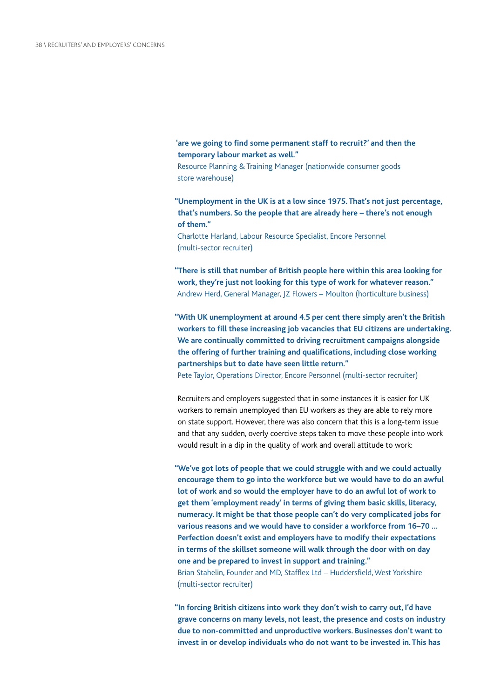**'are we going to find some permanent staff to recruit?' and then the temporary labour market as well."**

Resource Planning & Training Manager (nationwide consumer goods store warehouse)

**"Unemployment in the UK is at a low since 1975. That's not just percentage, that's numbers. So the people that are already here – there's not enough of them."**

Charlotte Harland, Labour Resource Specialist, Encore Personnel (multi-sector recruiter)

**"There is still that number of British people here within this area looking for work, they're just not looking for this type of work for whatever reason."** Andrew Herd, General Manager, JZ Flowers – Moulton (horticulture business)

**"With UK unemployment at around 4.5 per cent there simply aren't the British workers to fill these increasing job vacancies that EU citizens are undertaking. We are continually committed to driving recruitment campaigns alongside the offering of further training and qualifications, including close working partnerships but to date have seen little return."**

Pete Taylor, Operations Director, Encore Personnel (multi-sector recruiter)

Recruiters and employers suggested that in some instances it is easier for UK workers to remain unemployed than EU workers as they are able to rely more on state support. However, there was also concern that this is a long-term issue and that any sudden, overly coercive steps taken to move these people into work would result in a dip in the quality of work and overall attitude to work:

**"We've got lots of people that we could struggle with and we could actually encourage them to go into the workforce but we would have to do an awful lot of work and so would the employer have to do an awful lot of work to get them 'employment ready' in terms of giving them basic skills, literacy, numeracy. It might be that those people can't do very complicated jobs for various reasons and we would have to consider a workforce from 16–70 … Perfection doesn't exist and employers have to modify their expectations in terms of the skillset someone will walk through the door with on day one and be prepared to invest in support and training."** Brian Stahelin, Founder and MD, Stafflex Ltd – Huddersfield, West Yorkshire (multi-sector recruiter)

**"In forcing British citizens into work they don't wish to carry out, I'd have grave concerns on many levels, not least, the presence and costs on industry due to non-committed and unproductive workers. Businesses don't want to invest in or develop individuals who do not want to be invested in. This has**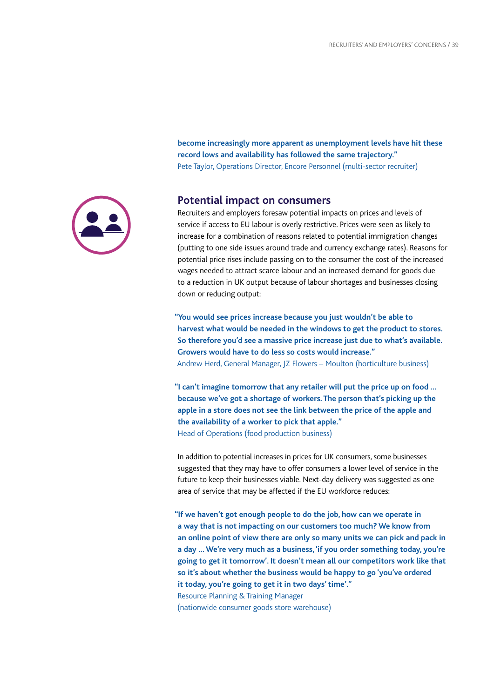

### **record lows and availability has followed the same trajectory."** Pete Taylor, Operations Director, Encore Personnel (multi-sector recruiter)

**become increasingly more apparent as unemployment levels have hit these** 

### **Potential impact on consumers**

Recruiters and employers foresaw potential impacts on prices and levels of service if access to EU labour is overly restrictive. Prices were seen as likely to increase for a combination of reasons related to potential immigration changes (putting to one side issues around trade and currency exchange rates). Reasons for potential price rises include passing on to the consumer the cost of the increased wages needed to attract scarce labour and an increased demand for goods due to a reduction in UK output because of labour shortages and businesses closing down or reducing output:

**"You would see prices increase because you just wouldn't be able to harvest what would be needed in the windows to get the product to stores. So therefore you'd see a massive price increase just due to what's available. Growers would have to do less so costs would increase."** Andrew Herd, General Manager, JZ Flowers – Moulton (horticulture business)

**"I can't imagine tomorrow that any retailer will put the price up on food … because we've got a shortage of workers. The person that's picking up the apple in a store does not see the link between the price of the apple and the availability of a worker to pick that apple."** Head of Operations (food production business)

In addition to potential increases in prices for UK consumers, some businesses suggested that they may have to offer consumers a lower level of service in the future to keep their businesses viable. Next-day delivery was suggested as one

area of service that may be affected if the EU workforce reduces:

**"If we haven't got enough people to do the job, how can we operate in a way that is not impacting on our customers too much? We know from an online point of view there are only so many units we can pick and pack in a day … We're very much as a business, 'if you order something today, you're going to get it tomorrow'. It doesn't mean all our competitors work like that so it's about whether the business would be happy to go 'you've ordered it today, you're going to get it in two days' time'."** Resource Planning & Training Manager (nationwide consumer goods store warehouse)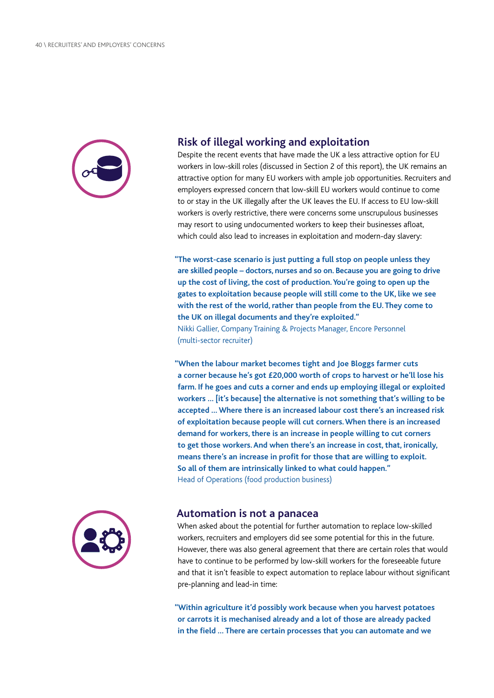

### **Risk of illegal working and exploitation**

Despite the recent events that have made the UK a less attractive option for EU workers in low-skill roles (discussed in Section 2 of this report), the UK remains an attractive option for many EU workers with ample job opportunities. Recruiters and employers expressed concern that low-skill EU workers would continue to come to or stay in the UK illegally after the UK leaves the EU. If access to EU low-skill workers is overly restrictive, there were concerns some unscrupulous businesses may resort to using undocumented workers to keep their businesses afloat, which could also lead to increases in exploitation and modern-day slavery:

**"The worst-case scenario is just putting a full stop on people unless they are skilled people – doctors, nurses and so on. Because you are going to drive up the cost of living, the cost of production. You're going to open up the gates to exploitation because people will still come to the UK, like we see with the rest of the world, rather than people from the EU. They come to the UK on illegal documents and they're exploited."** Nikki Gallier, Company Training & Projects Manager, Encore Personnel (multi-sector recruiter)

**"When the labour market becomes tight and Joe Bloggs farmer cuts a corner because he's got £20,000 worth of crops to harvest or he'll lose his farm. If he goes and cuts a corner and ends up employing illegal or exploited workers … [it's because] the alternative is not something that's willing to be accepted … Where there is an increased labour cost there's an increased risk of exploitation because people will cut corners. When there is an increased demand for workers, there is an increase in people willing to cut corners to get those workers. And when there's an increase in cost, that, ironically, means there's an increase in profit for those that are willing to exploit. So all of them are intrinsically linked to what could happen."** Head of Operations (food production business)



### **Automation is not a panacea**

When asked about the potential for further automation to replace low-skilled workers, recruiters and employers did see some potential for this in the future. However, there was also general agreement that there are certain roles that would have to continue to be performed by low-skill workers for the foreseeable future and that it isn't feasible to expect automation to replace labour without significant pre-planning and lead-in time:

**"Within agriculture it'd possibly work because when you harvest potatoes or carrots it is mechanised already and a lot of those are already packed in the field … There are certain processes that you can automate and we**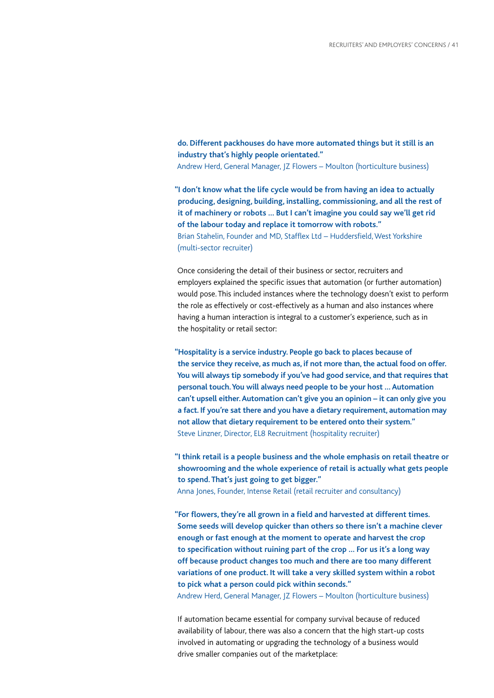**do. Different packhouses do have more automated things but it still is an industry that's highly people orientated."** Andrew Herd, General Manager, JZ Flowers – Moulton (horticulture business)

**"I don't know what the life cycle would be from having an idea to actually producing, designing, building, installing, commissioning, and all the rest of it of machinery or robots … But I can't imagine you could say we'll get rid of the labour today and replace it tomorrow with robots."** Brian Stahelin, Founder and MD, Stafflex Ltd – Huddersfield, West Yorkshire (multi-sector recruiter)

Once considering the detail of their business or sector, recruiters and employers explained the specific issues that automation (or further automation) would pose. This included instances where the technology doesn't exist to perform the role as effectively or cost-effectively as a human and also instances where having a human interaction is integral to a customer's experience, such as in the hospitality or retail sector:

**"Hospitality is a service industry. People go back to places because of the service they receive, as much as, if not more than, the actual food on offer. You will always tip somebody if you've had good service, and that requires that personal touch. You will always need people to be your host … Automation can't upsell either. Automation can't give you an opinion – it can only give you a fact. If you're sat there and you have a dietary requirement, automation may not allow that dietary requirement to be entered onto their system."** Steve Linzner, Director, EL8 Recruitment (hospitality recruiter)

**"I think retail is a people business and the whole emphasis on retail theatre or showrooming and the whole experience of retail is actually what gets people to spend. That's just going to get bigger."**

Anna Jones, Founder, Intense Retail (retail recruiter and consultancy)

**"For flowers, they're all grown in a field and harvested at different times. Some seeds will develop quicker than others so there isn't a machine clever enough or fast enough at the moment to operate and harvest the crop to specification without ruining part of the crop … For us it's a long way off because product changes too much and there are too many different variations of one product. It will take a very skilled system within a robot to pick what a person could pick within seconds."**

Andrew Herd, General Manager, JZ Flowers – Moulton (horticulture business)

If automation became essential for company survival because of reduced availability of labour, there was also a concern that the high start-up costs involved in automating or upgrading the technology of a business would drive smaller companies out of the marketplace: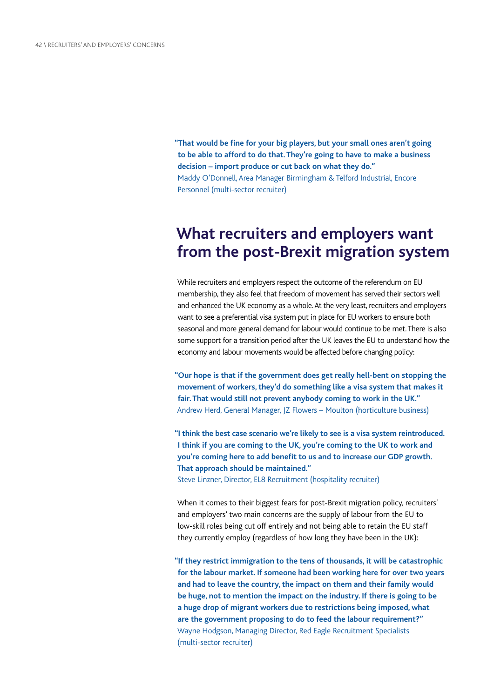**"That would be fine for your big players, but your small ones aren't going to be able to afford to do that. They're going to have to make a business decision – import produce or cut back on what they do."** Maddy O'Donnell, Area Manager Birmingham & Telford Industrial, Encore Personnel (multi-sector recruiter)

# **What recruiters and employers want from the post-Brexit migration system**

While recruiters and employers respect the outcome of the referendum on EU membership, they also feel that freedom of movement has served their sectors well and enhanced the UK economy as a whole. At the very least, recruiters and employers want to see a preferential visa system put in place for EU workers to ensure both seasonal and more general demand for labour would continue to be met. There is also some support for a transition period after the UK leaves the EU to understand how the economy and labour movements would be affected before changing policy:

**"Our hope is that if the government does get really hell-bent on stopping the movement of workers, they'd do something like a visa system that makes it fair. That would still not prevent anybody coming to work in the UK."** Andrew Herd, General Manager, JZ Flowers – Moulton (horticulture business)

**"I think the best case scenario we're likely to see is a visa system reintroduced. I think if you are coming to the UK, you're coming to the UK to work and you're coming here to add benefit to us and to increase our GDP growth. That approach should be maintained."** Steve Linzner, Director, EL8 Recruitment (hospitality recruiter)

When it comes to their biggest fears for post-Brexit migration policy, recruiters' and employers' two main concerns are the supply of labour from the EU to low-skill roles being cut off entirely and not being able to retain the EU staff they currently employ (regardless of how long they have been in the UK):

**"If they restrict immigration to the tens of thousands, it will be catastrophic for the labour market. If someone had been working here for over two years and had to leave the country, the impact on them and their family would be huge, not to mention the impact on the industry. If there is going to be a huge drop of migrant workers due to restrictions being imposed, what are the government proposing to do to feed the labour requirement?"** Wayne Hodgson, Managing Director, Red Eagle Recruitment Specialists (multi-sector recruiter)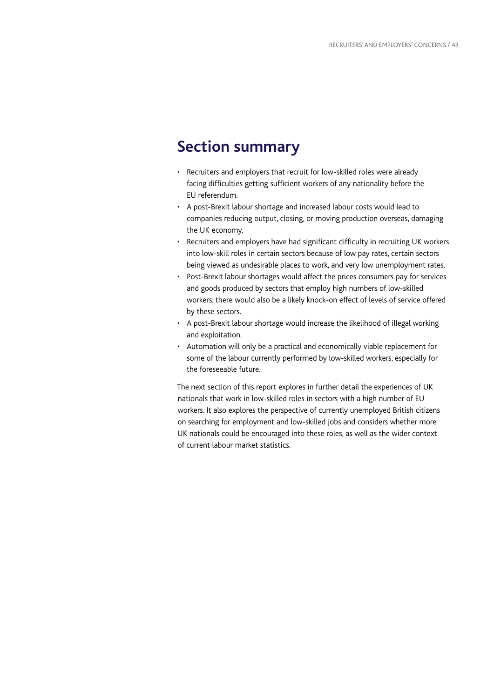# **Section summary**

- Recruiters and employers that recruit for low-skilled roles were already facing difficulties getting sufficient workers of any nationality before the EU referendum.
- A post-Brexit labour shortage and increased labour costs would lead to companies reducing output, closing, or moving production overseas, damaging the UK economy.
- Recruiters and employers have had significant difficulty in recruiting UK workers into low-skill roles in certain sectors because of low pay rates, certain sectors being viewed as undesirable places to work, and very low unemployment rates.
- Post-Brexit labour shortages would affect the prices consumers pay for services and goods produced by sectors that employ high numbers of low-skilled workers; there would also be a likely knock-on effect of levels of service offered by these sectors.
- A post-Brexit labour shortage would increase the likelihood of illegal working and exploitation.
- Automation will only be a practical and economically viable replacement for some of the labour currently performed by low-skilled workers, especially for the foreseeable future.

The next section of this report explores in further detail the experiences of UK nationals that work in low-skilled roles in sectors with a high number of EU workers. It also explores the perspective of currently unemployed British citizens on searching for employment and low-skilled jobs and considers whether more UK nationals could be encouraged into these roles, as well as the wider context of current labour market statistics.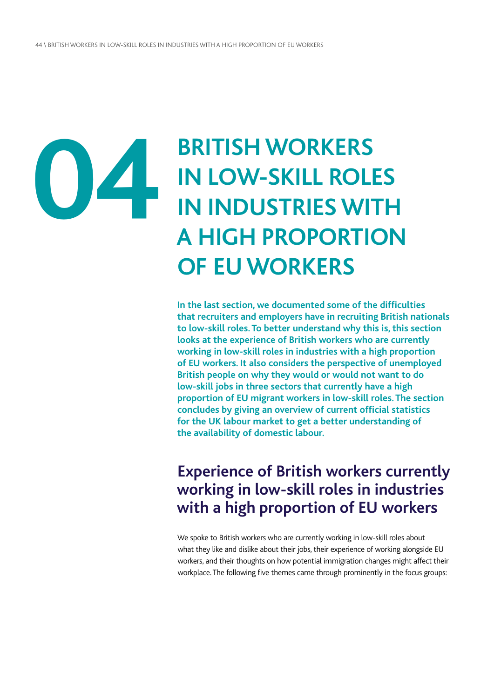# **04**

# **BRITISH WORKERS IN LOW-SKILL ROLES IN INDUSTRIES WITH A HIGH PROPORTION OF EU WORKERS**

**In the last section, we documented some of the difficulties that recruiters and employers have in recruiting British nationals to low-skill roles. To better understand why this is, this section looks at the experience of British workers who are currently working in low-skill roles in industries with a high proportion of EU workers. It also considers the perspective of unemployed British people on why they would or would not want to do low-skill jobs in three sectors that currently have a high proportion of EU migrant workers in low-skill roles. The section concludes by giving an overview of current official statistics for the UK labour market to get a better understanding of the availability of domestic labour.**

# **Experience of British workers currently working in low-skill roles in industries with a high proportion of EU workers**

We spoke to British workers who are currently working in low-skill roles about what they like and dislike about their jobs, their experience of working alongside EU workers, and their thoughts on how potential immigration changes might affect their workplace. The following five themes came through prominently in the focus groups: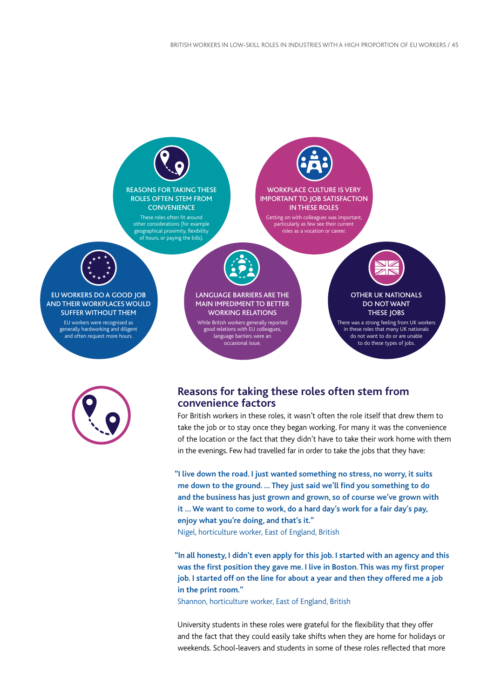



### **Reasons for taking these roles often stem from convenience factors**

For British workers in these roles, it wasn't often the role itself that drew them to take the job or to stay once they began working. For many it was the convenience of the location or the fact that they didn't have to take their work home with them in the evenings. Few had travelled far in order to take the jobs that they have:

**"I live down the road. I just wanted something no stress, no worry, it suits me down to the ground. … They just said we'll find you something to do and the business has just grown and grown, so of course we've grown with it … We want to come to work, do a hard day's work for a fair day's pay, enjoy what you're doing, and that's it."**

Nigel, horticulture worker, East of England, British

**"In all honesty, I didn't even apply for this job. I started with an agency and this was the first position they gave me. I live in Boston. This was my first proper job. I started off on the line for about a year and then they offered me a job in the print room."**

Shannon, horticulture worker, East of England, British

University students in these roles were grateful for the flexibility that they offer and the fact that they could easily take shifts when they are home for holidays or weekends. School-leavers and students in some of these roles reflected that more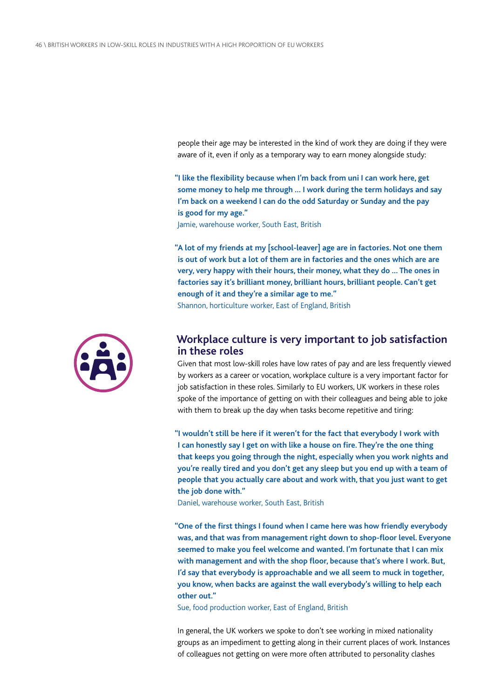people their age may be interested in the kind of work they are doing if they were aware of it, even if only as a temporary way to earn money alongside study:

**"I like the flexibility because when I'm back from uni I can work here, get some money to help me through … I work during the term holidays and say I'm back on a weekend I can do the odd Saturday or Sunday and the pay is good for my age."**

Jamie, warehouse worker, South East, British

**"A lot of my friends at my [school-leaver] age are in factories. Not one them is out of work but a lot of them are in factories and the ones which are are very, very happy with their hours, their money, what they do … The ones in factories say it's brilliant money, brilliant hours, brilliant people. Can't get enough of it and they're a similar age to me."**

Shannon, horticulture worker, East of England, British



### **Workplace culture is very important to job satisfaction in these roles**

Given that most low-skill roles have low rates of pay and are less frequently viewed by workers as a career or vocation, workplace culture is a very important factor for job satisfaction in these roles. Similarly to EU workers, UK workers in these roles spoke of the importance of getting on with their colleagues and being able to joke with them to break up the day when tasks become repetitive and tiring:

**"I wouldn't still be here if it weren't for the fact that everybody I work with I can honestly say I get on with like a house on fire. They're the one thing that keeps you going through the night, especially when you work nights and you're really tired and you don't get any sleep but you end up with a team of people that you actually care about and work with, that you just want to get the job done with."**

Daniel, warehouse worker, South East, British

**"One of the first things I found when I came here was how friendly everybody was, and that was from management right down to shop-floor level. Everyone seemed to make you feel welcome and wanted. I'm fortunate that I can mix with management and with the shop floor, because that's where I work. But, I'd say that everybody is approachable and we all seem to muck in together, you know, when backs are against the wall everybody's willing to help each other out."**

Sue, food production worker, East of England, British

In general, the UK workers we spoke to don't see working in mixed nationality groups as an impediment to getting along in their current places of work. Instances of colleagues not getting on were more often attributed to personality clashes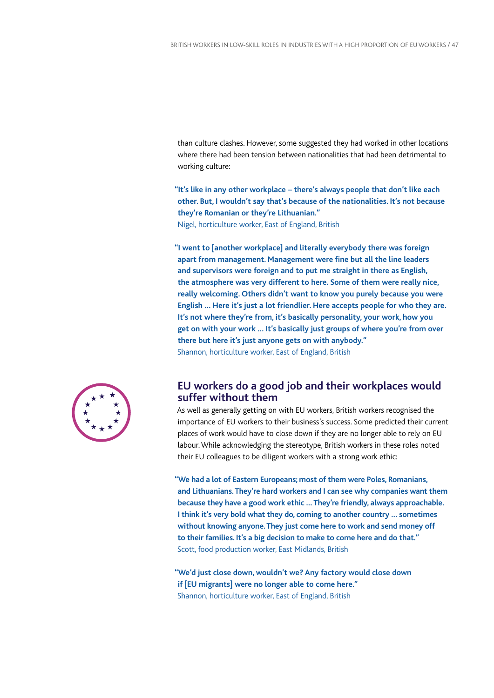than culture clashes. However, some suggested they had worked in other locations where there had been tension between nationalities that had been detrimental to working culture:

**"It's like in any other workplace – there's always people that don't like each other. But, I wouldn't say that's because of the nationalities. It's not because they're Romanian or they're Lithuanian."** Nigel, horticulture worker, East of England, British

**"I went to [another workplace] and literally everybody there was foreign apart from management. Management were fine but all the line leaders and supervisors were foreign and to put me straight in there as English, the atmosphere was very different to here. Some of them were really nice, really welcoming. Others didn't want to know you purely because you were English … Here it's just a lot friendlier. Here accepts people for who they are. It's not where they're from, it's basically personality, your work, how you get on with your work … It's basically just groups of where you're from over there but here it's just anyone gets on with anybody."** Shannon, horticulture worker, East of England, British



### **EU workers do a good job and their workplaces would suffer without them**

As well as generally getting on with EU workers, British workers recognised the importance of EU workers to their business's success. Some predicted their current places of work would have to close down if they are no longer able to rely on EU labour. While acknowledging the stereotype, British workers in these roles noted their EU colleagues to be diligent workers with a strong work ethic:

**"We had a lot of Eastern Europeans; most of them were Poles, Romanians, and Lithuanians. They're hard workers and I can see why companies want them because they have a good work ethic … They're friendly, always approachable. I think it's very bold what they do, coming to another country … sometimes without knowing anyone. They just come here to work and send money off to their families. It's a big decision to make to come here and do that."** Scott, food production worker, East Midlands, British

**"We'd just close down, wouldn't we? Any factory would close down if [EU migrants] were no longer able to come here."** Shannon, horticulture worker, East of England, British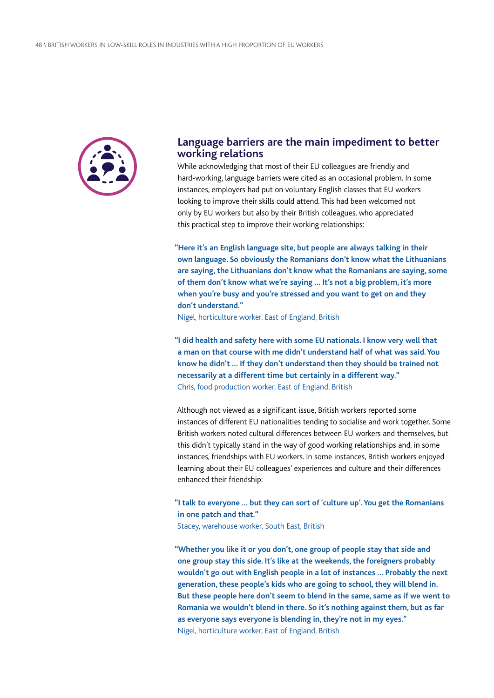

### **Language barriers are the main impediment to better working relations**

While acknowledging that most of their EU colleagues are friendly and hard-working, language barriers were cited as an occasional problem. In some instances, employers had put on voluntary English classes that EU workers looking to improve their skills could attend. This had been welcomed not only by EU workers but also by their British colleagues, who appreciated this practical step to improve their working relationships:

**"Here it's an English language site, but people are always talking in their own language. So obviously the Romanians don't know what the Lithuanians are saying, the Lithuanians don't know what the Romanians are saying, some of them don't know what we're saying … It's not a big problem, it's more when you're busy and you're stressed and you want to get on and they don't understand."**

Nigel, horticulture worker, East of England, British

**"I did health and safety here with some EU nationals. I know very well that a man on that course with me didn't understand half of what was said. You know he didn't … If they don't understand then they should be trained not necessarily at a different time but certainly in a different way."** Chris, food production worker, East of England, British

Although not viewed as a significant issue, British workers reported some instances of different EU nationalities tending to socialise and work together. Some British workers noted cultural differences between EU workers and themselves, but this didn't typically stand in the way of good working relationships and, in some instances, friendships with EU workers. In some instances, British workers enjoyed learning about their EU colleagues' experiences and culture and their differences enhanced their friendship:

**"I talk to everyone … but they can sort of 'culture up'. You get the Romanians in one patch and that."**

Stacey, warehouse worker, South East, British

**"Whether you like it or you don't, one group of people stay that side and one group stay this side. It's like at the weekends, the foreigners probably wouldn't go out with English people in a lot of instances … Probably the next generation, these people's kids who are going to school, they will blend in. But these people here don't seem to blend in the same, same as if we went to Romania we wouldn't blend in there. So it's nothing against them, but as far as everyone says everyone is blending in, they're not in my eyes."** Nigel, horticulture worker, East of England, British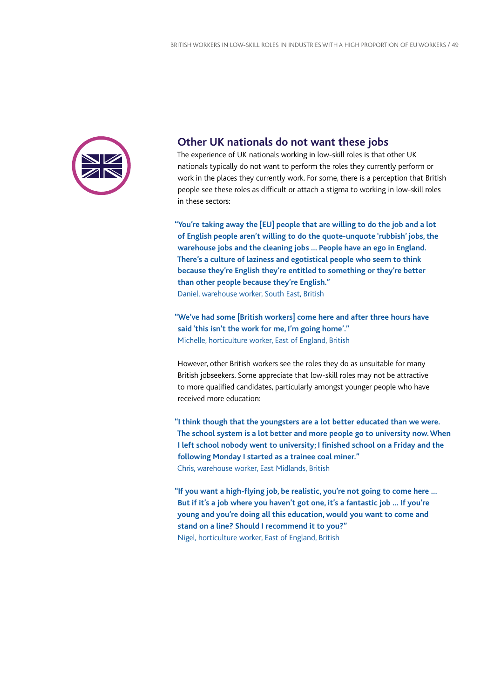

### **Other UK nationals do not want these jobs**

The experience of UK nationals working in low-skill roles is that other UK nationals typically do not want to perform the roles they currently perform or work in the places they currently work. For some, there is a perception that British people see these roles as difficult or attach a stigma to working in low-skill roles in these sectors:

**"You're taking away the [EU] people that are willing to do the job and a lot of English people aren't willing to do the quote-unquote 'rubbish' jobs, the warehouse jobs and the cleaning jobs … People have an ego in England. There's a culture of laziness and egotistical people who seem to think because they're English they're entitled to something or they're better than other people because they're English."** Daniel, warehouse worker, South East, British

**"We've had some [British workers] come here and after three hours have said 'this isn't the work for me, I'm going home'."** Michelle, horticulture worker, East of England, British

However, other British workers see the roles they do as unsuitable for many British jobseekers. Some appreciate that low-skill roles may not be attractive to more qualified candidates, particularly amongst younger people who have received more education:

**"I think though that the youngsters are a lot better educated than we were. The school system is a lot better and more people go to university now. When I left school nobody went to university; I finished school on a Friday and the following Monday I started as a trainee coal miner."** Chris, warehouse worker, East Midlands, British

**"If you want a high-flying job, be realistic, you're not going to come here … But if it's a job where you haven't got one, it's a fantastic job … If you're young and you're doing all this education, would you want to come and stand on a line? Should I recommend it to you?"** Nigel, horticulture worker, East of England, British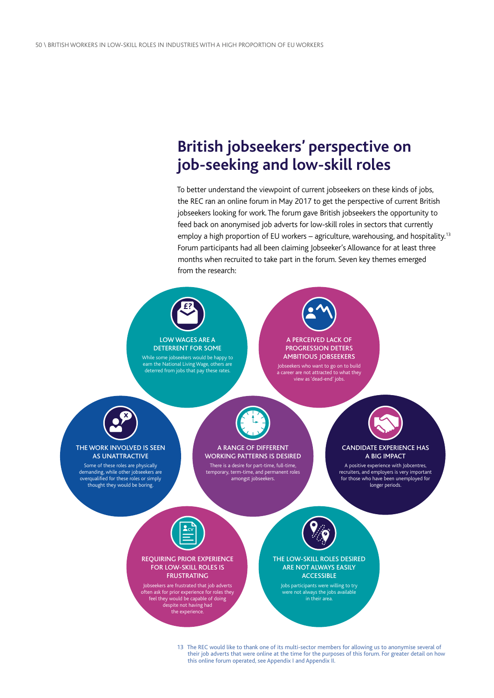# **British jobseekers' perspective on job-seeking and low-skill roles**

To better understand the viewpoint of current jobseekers on these kinds of jobs, the REC ran an online forum in May 2017 to get the perspective of current British jobseekers looking for work. The forum gave British jobseekers the opportunity to feed back on anonymised job adverts for low-skill roles in sectors that currently employ a high proportion of EU workers – agriculture, warehousing, and hospitality.<sup>13</sup> Forum participants had all been claiming Jobseeker's Allowance for at least three months when recruited to take part in the forum. Seven key themes emerged from the research:



13 The REC would like to thank one of its multi-sector members for allowing us to anonymise several of their job adverts that were online at the time for the purposes of this forum. For greater detail on how this online forum operated, see Appendix I and Appendix II.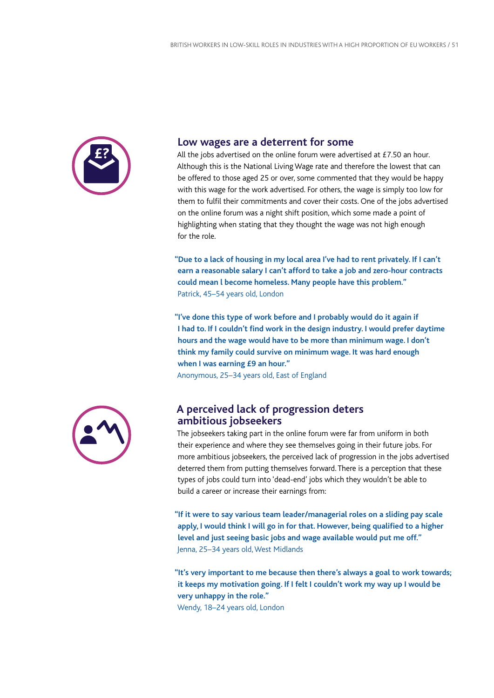

### **Low wages are a deterrent for some**

All the jobs advertised on the online forum were advertised at £7.50 an hour. Although this is the National Living Wage rate and therefore the lowest that can be offered to those aged 25 or over, some commented that they would be happy with this wage for the work advertised. For others, the wage is simply too low for them to fulfil their commitments and cover their costs. One of the jobs advertised on the online forum was a night shift position, which some made a point of highlighting when stating that they thought the wage was not high enough for the role.

**"Due to a lack of housing in my local area I've had to rent privately. If I can't earn a reasonable salary I can't afford to take a job and zero-hour contracts could mean l become homeless. Many people have this problem."** Patrick, 45–54 years old, London

**"I've done this type of work before and I probably would do it again if I had to. If I couldn't find work in the design industry. I would prefer daytime hours and the wage would have to be more than minimum wage. I don't think my family could survive on minimum wage. It was hard enough when I was earning £9 an hour."** Anonymous, 25–34 years old, East of England



### **A perceived lack of progression deters ambitious jobseekers**

The jobseekers taking part in the online forum were far from uniform in both their experience and where they see themselves going in their future jobs. For more ambitious jobseekers, the perceived lack of progression in the jobs advertised deterred them from putting themselves forward. There is a perception that these types of jobs could turn into 'dead-end' jobs which they wouldn't be able to build a career or increase their earnings from:

**"If it were to say various team leader/managerial roles on a sliding pay scale apply, I would think I will go in for that. However, being qualified to a higher level and just seeing basic jobs and wage available would put me off."** Jenna, 25–34 years old, West Midlands

**"It's very important to me because then there's always a goal to work towards; it keeps my motivation going. If I felt I couldn't work my way up I would be very unhappy in the role."** Wendy, 18–24 years old, London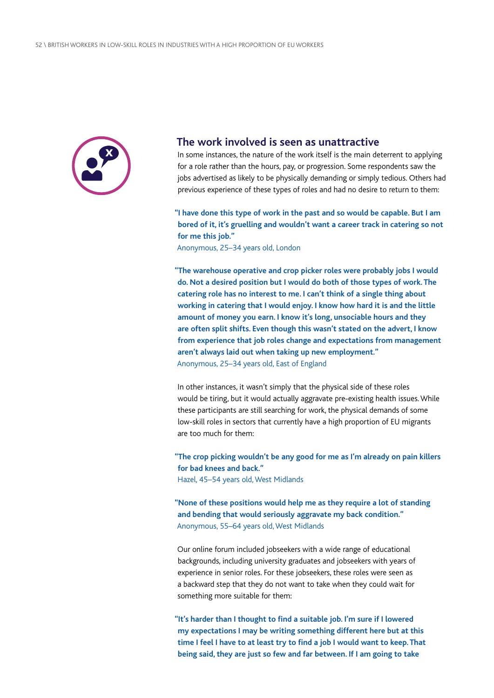

### **The work involved is seen as unattractive**

In some instances, the nature of the work itself is the main deterrent to applying for a role rather than the hours, pay, or progression. Some respondents saw the jobs advertised as likely to be physically demanding or simply tedious. Others had previous experience of these types of roles and had no desire to return to them:

**"I have done this type of work in the past and so would be capable. But I am bored of it, it's gruelling and wouldn't want a career track in catering so not for me this job."**

Anonymous, 25–34 years old, London

**"The warehouse operative and crop picker roles were probably jobs I would do. Not a desired position but I would do both of those types of work. The catering role has no interest to me. I can't think of a single thing about working in catering that I would enjoy. I know how hard it is and the little amount of money you earn. I know it's long, unsociable hours and they are often split shifts. Even though this wasn't stated on the advert, I know from experience that job roles change and expectations from management aren't always laid out when taking up new employment."** Anonymous, 25–34 years old, East of England

In other instances, it wasn't simply that the physical side of these roles would be tiring, but it would actually aggravate pre-existing health issues. While these participants are still searching for work, the physical demands of some low-skill roles in sectors that currently have a high proportion of EU migrants are too much for them:

**"The crop picking wouldn't be any good for me as I'm already on pain killers for bad knees and back."** Hazel, 45–54 years old, West Midlands

**"None of these positions would help me as they require a lot of standing and bending that would seriously aggravate my back condition."** Anonymous, 55–64 years old, West Midlands

Our online forum included jobseekers with a wide range of educational backgrounds, including university graduates and jobseekers with years of experience in senior roles. For these jobseekers, these roles were seen as a backward step that they do not want to take when they could wait for something more suitable for them:

**"It's harder than I thought to find a suitable job. I'm sure if I lowered my expectations I may be writing something different here but at this time I feel I have to at least try to find a job I would want to keep. That being said, they are just so few and far between. If I am going to take**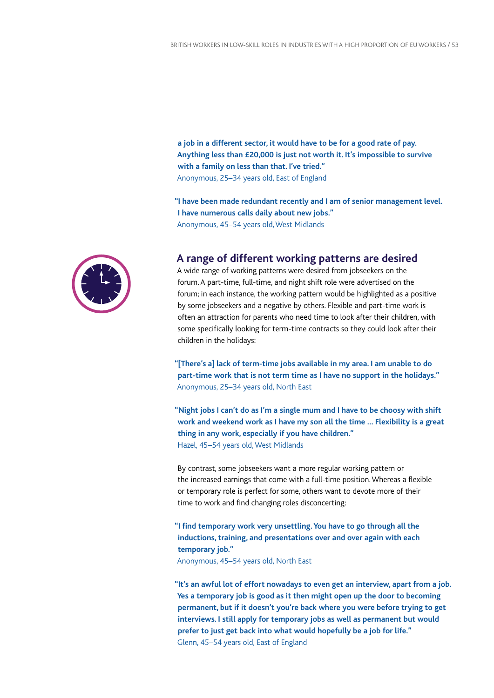**a job in a different sector, it would have to be for a good rate of pay. Anything less than £20,000 is just not worth it. It's impossible to survive with a family on less than that. I've tried."** Anonymous, 25–34 years old, East of England

**"I have been made redundant recently and I am of senior management level. I have numerous calls daily about new jobs."** Anonymous, 45–54 years old, West Midlands



### **A range of different working patterns are desired**

A wide range of working patterns were desired from jobseekers on the forum. A part-time, full-time, and night shift role were advertised on the forum; in each instance, the working pattern would be highlighted as a positive by some jobseekers and a negative by others. Flexible and part-time work is often an attraction for parents who need time to look after their children, with some specifically looking for term-time contracts so they could look after their children in the holidays:

**"[There's a] lack of term-time jobs available in my area. I am unable to do part-time work that is not term time as I have no support in the holidays."** Anonymous, 25–34 years old, North East

**"Night jobs I can't do as I'm a single mum and I have to be choosy with shift work and weekend work as I have my son all the time … Flexibility is a great thing in any work, especially if you have children."** Hazel, 45–54 years old, West Midlands

By contrast, some jobseekers want a more regular working pattern or the increased earnings that come with a full-time position. Whereas a flexible or temporary role is perfect for some, others want to devote more of their time to work and find changing roles disconcerting:

**"I find temporary work very unsettling. You have to go through all the inductions, training, and presentations over and over again with each temporary job."**

Anonymous, 45–54 years old, North East

**"It's an awful lot of effort nowadays to even get an interview, apart from a job. Yes a temporary job is good as it then might open up the door to becoming permanent, but if it doesn't you're back where you were before trying to get interviews. I still apply for temporary jobs as well as permanent but would prefer to just get back into what would hopefully be a job for life."** Glenn, 45–54 years old, East of England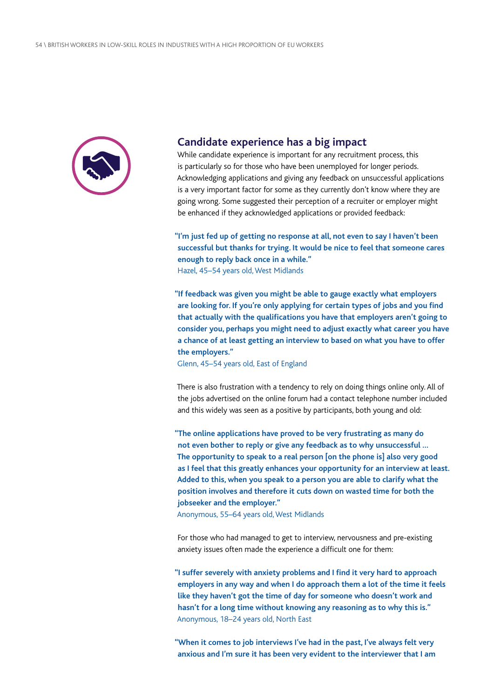

### **Candidate experience has a big impact**

While candidate experience is important for any recruitment process, this is particularly so for those who have been unemployed for longer periods. Acknowledging applications and giving any feedback on unsuccessful applications is a very important factor for some as they currently don't know where they are going wrong. Some suggested their perception of a recruiter or employer might be enhanced if they acknowledged applications or provided feedback:

**"I'm just fed up of getting no response at all, not even to say I haven't been successful but thanks for trying. It would be nice to feel that someone cares enough to reply back once in a while."** Hazel, 45–54 years old, West Midlands

**"If feedback was given you might be able to gauge exactly what employers are looking for. If you're only applying for certain types of jobs and you find that actually with the qualifications you have that employers aren't going to consider you, perhaps you might need to adjust exactly what career you have a chance of at least getting an interview to based on what you have to offer the employers."**

Glenn, 45–54 years old, East of England

There is also frustration with a tendency to rely on doing things online only. All of the jobs advertised on the online forum had a contact telephone number included and this widely was seen as a positive by participants, both young and old:

**"The online applications have proved to be very frustrating as many do not even bother to reply or give any feedback as to why unsuccessful … The opportunity to speak to a real person [on the phone is] also very good as I feel that this greatly enhances your opportunity for an interview at least. Added to this, when you speak to a person you are able to clarify what the position involves and therefore it cuts down on wasted time for both the jobseeker and the employer."**

Anonymous, 55–64 years old, West Midlands

For those who had managed to get to interview, nervousness and pre-existing anxiety issues often made the experience a difficult one for them:

**"I suffer severely with anxiety problems and I find it very hard to approach employers in any way and when I do approach them a lot of the time it feels like they haven't got the time of day for someone who doesn't work and hasn't for a long time without knowing any reasoning as to why this is."** Anonymous, 18–24 years old, North East

**"When it comes to job interviews I've had in the past, I've always felt very anxious and I'm sure it has been very evident to the interviewer that I am**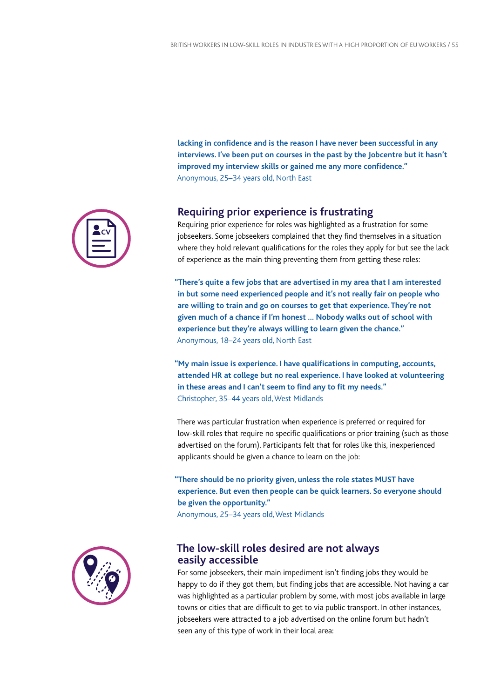**lacking in confidence and is the reason I have never been successful in any interviews. I've been put on courses in the past by the Jobcentre but it hasn't improved my interview skills or gained me any more confidence."** Anonymous, 25–34 years old, North East

### **Requiring prior experience is frustrating**

Requiring prior experience for roles was highlighted as a frustration for some jobseekers. Some jobseekers complained that they find themselves in a situation where they hold relevant qualifications for the roles they apply for but see the lack of experience as the main thing preventing them from getting these roles:

**"There's quite a few jobs that are advertised in my area that I am interested in but some need experienced people and it's not really fair on people who are willing to train and go on courses to get that experience. They're not given much of a chance if I'm honest … Nobody walks out of school with experience but they're always willing to learn given the chance."** Anonymous, 18–24 years old, North East

**"My main issue is experience. I have qualifications in computing, accounts, attended HR at college but no real experience. I have looked at volunteering in these areas and I can't seem to find any to fit my needs."** Christopher, 35–44 years old, West Midlands

There was particular frustration when experience is preferred or required for low-skill roles that require no specific qualifications or prior training (such as those advertised on the forum). Participants felt that for roles like this, inexperienced applicants should be given a chance to learn on the job:

**"There should be no priority given, unless the role states MUST have experience. But even then people can be quick learners. So everyone should be given the opportunity."** Anonymous, 25–34 years old, West Midlands

### **The low-skill roles desired are not always easily accessible**

For some jobseekers, their main impediment isn't finding jobs they would be happy to do if they got them, but finding jobs that are accessible. Not having a car was highlighted as a particular problem by some, with most jobs available in large towns or cities that are difficult to get to via public transport. In other instances, jobseekers were attracted to a job advertised on the online forum but hadn't seen any of this type of work in their local area:

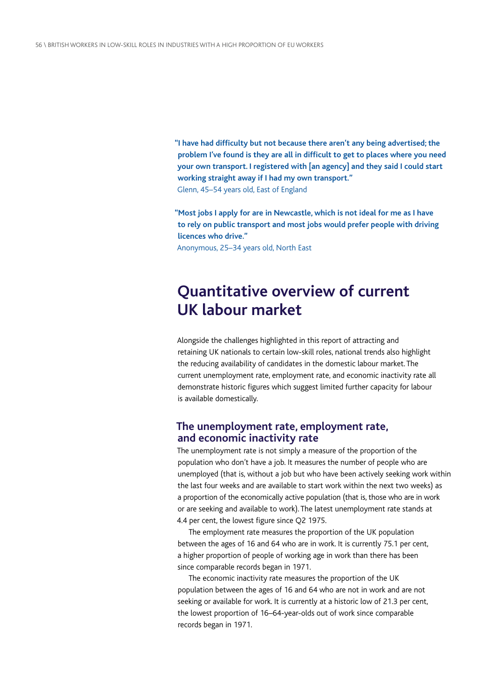**"I have had difficulty but not because there aren't any being advertised; the problem I've found is they are all in difficult to get to places where you need your own transport. I registered with [an agency] and they said I could start working straight away if I had my own transport."** Glenn, 45–54 years old, East of England

**"Most jobs I apply for are in Newcastle, which is not ideal for me as I have to rely on public transport and most jobs would prefer people with driving licences who drive."**

Anonymous, 25–34 years old, North East

# **Quantitative overview of current UK labour market**

Alongside the challenges highlighted in this report of attracting and retaining UK nationals to certain low-skill roles, national trends also highlight the reducing availability of candidates in the domestic labour market. The current unemployment rate, employment rate, and economic inactivity rate all demonstrate historic figures which suggest limited further capacity for labour is available domestically.

### **The unemployment rate, employment rate, and economic inactivity rate**

The unemployment rate is not simply a measure of the proportion of the population who don't have a job. It measures the number of people who are unemployed (that is, without a job but who have been actively seeking work within the last four weeks and are available to start work within the next two weeks) as a proportion of the economically active population (that is, those who are in work or are seeking and available to work). The latest unemployment rate stands at 4.4 per cent, the lowest figure since Q2 1975.

The employment rate measures the proportion of the UK population between the ages of 16 and 64 who are in work. It is currently 75.1 per cent, a higher proportion of people of working age in work than there has been since comparable records began in 1971.

The economic inactivity rate measures the proportion of the UK population between the ages of 16 and 64 who are not in work and are not seeking or available for work. It is currently at a historic low of 21.3 per cent, the lowest proportion of 16–64-year-olds out of work since comparable records began in 1971.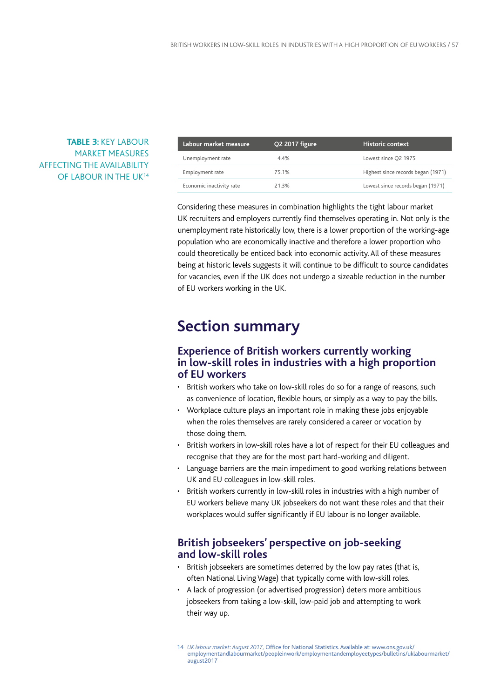### **TABLE 3:** KEY LABOUR MARKET MEASURES AFFECTING THE AVAILABILITY OF LABOUR IN THE UK<sup>14</sup>

| Labour market measure    | O2 2017 figure | <b>Historic context</b>            |
|--------------------------|----------------|------------------------------------|
| Unemployment rate        | 4.4%           | Lowest since Q2 1975               |
| Employment rate          | 75.1%          | Highest since records began (1971) |
| Economic inactivity rate | 21.3%          | Lowest since records began (1971)  |

Considering these measures in combination highlights the tight labour market UK recruiters and employers currently find themselves operating in. Not only is the unemployment rate historically low, there is a lower proportion of the working-age population who are economically inactive and therefore a lower proportion who could theoretically be enticed back into economic activity. All of these measures being at historic levels suggests it will continue to be difficult to source candidates for vacancies, even if the UK does not undergo a sizeable reduction in the number of EU workers working in the UK.

# **Section summary**

### **Experience of British workers currently working in low-skill roles in industries with a high proportion of EU workers**

- British workers who take on low-skill roles do so for a range of reasons, such as convenience of location, flexible hours, or simply as a way to pay the bills.
- Workplace culture plays an important role in making these jobs enjoyable when the roles themselves are rarely considered a career or vocation by those doing them.
- British workers in low-skill roles have a lot of respect for their EU colleagues and recognise that they are for the most part hard-working and diligent.
- Language barriers are the main impediment to good working relations between UK and EU colleagues in low-skill roles.
- British workers currently in low-skill roles in industries with a high number of EU workers believe many UK jobseekers do not want these roles and that their workplaces would suffer significantly if EU labour is no longer available.

### **British jobseekers' perspective on job-seeking and low-skill roles**

- British jobseekers are sometimes deterred by the low pay rates (that is, often National Living Wage) that typically come with low-skill roles.
- A lack of progression (or advertised progression) deters more ambitious jobseekers from taking a low-skill, low-paid job and attempting to work their way up.
- 14 *UK labour market: August 2017,* Office for National Statistics.Available at: [www.ons.gov.uk/](http://www.ons.gov.uk/employmentandlabourmarket/peopleinwork/employmentandemployeetypes/bulletins/uklabourmarket/august2017) [employmentandlabourmarket/peopleinwork/employmentandemployeetypes/bulletins/uklabourmarket/](http://www.ons.gov.uk/employmentandlabourmarket/peopleinwork/employmentandemployeetypes/bulletins/uklabourmarket/august2017) [august2017](http://www.ons.gov.uk/employmentandlabourmarket/peopleinwork/employmentandemployeetypes/bulletins/uklabourmarket/august2017)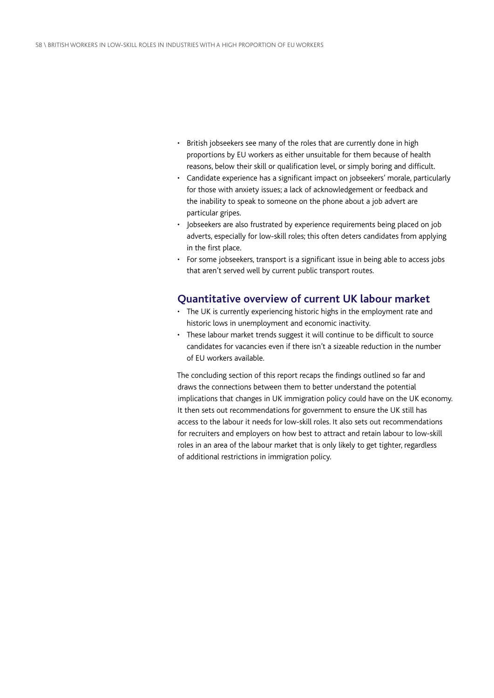- British jobseekers see many of the roles that are currently done in high proportions by EU workers as either unsuitable for them because of health reasons, below their skill or qualification level, or simply boring and difficult.
- Candidate experience has a significant impact on jobseekers' morale, particularly for those with anxiety issues; a lack of acknowledgement or feedback and the inability to speak to someone on the phone about a job advert are particular gripes.
- Jobseekers are also frustrated by experience requirements being placed on job adverts, especially for low-skill roles; this often deters candidates from applying in the first place.
- For some jobseekers, transport is a significant issue in being able to access jobs that aren't served well by current public transport routes.

### **Quantitative overview of current UK labour market**

- The UK is currently experiencing historic highs in the employment rate and historic lows in unemployment and economic inactivity.
- These labour market trends suggest it will continue to be difficult to source candidates for vacancies even if there isn't a sizeable reduction in the number of EU workers available.

The concluding section of this report recaps the findings outlined so far and draws the connections between them to better understand the potential implications that changes in UK immigration policy could have on the UK economy. It then sets out recommendations for government to ensure the UK still has access to the labour it needs for low-skill roles. It also sets out recommendations for recruiters and employers on how best to attract and retain labour to low-skill roles in an area of the labour market that is only likely to get tighter, regardless of additional restrictions in immigration policy.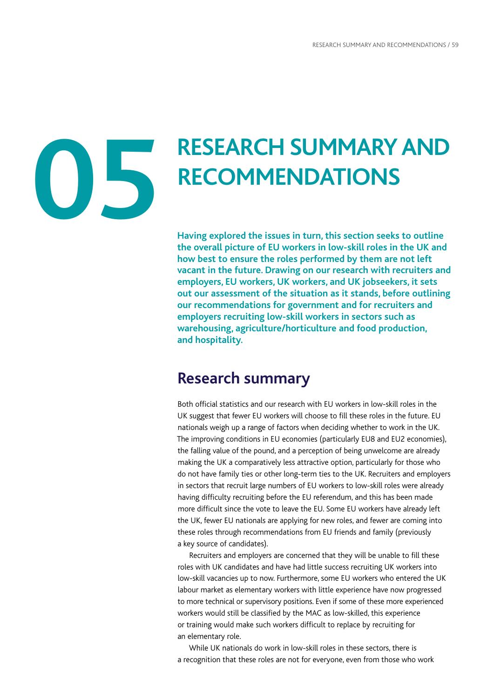# **05**

# **RESEARCH SUMMARYAND RECOMMENDATIONS**

**Having explored the issues in turn, this section seeks to outline the overall picture of EU workers in low-skill roles in the UK and how best to ensure the roles performed by them are not left vacant in the future. Drawing on our research with recruiters and employers, EU workers, UK workers, and UK jobseekers, it sets out our assessment of the situation as it stands, before outlining our recommendations for government and for recruiters and employers recruiting low-skill workers in sectors such as warehousing, agriculture/horticulture and food production, and hospitality.**

# **Research summary**

Both official statistics and our research with EU workers in low-skill roles in the UK suggest that fewer EU workers will choose to fill these roles in the future. EU nationals weigh up a range of factors when deciding whether to work in the UK. The improving conditions in EU economies (particularly EU8 and EU2 economies), the falling value of the pound, and a perception of being unwelcome are already making the UK a comparatively less attractive option, particularly for those who do not have family ties or other long-term ties to the UK. Recruiters and employers in sectors that recruit large numbers of EU workers to low-skill roles were already having difficulty recruiting before the EU referendum, and this has been made more difficult since the vote to leave the EU. Some EU workers have already left the UK, fewer EU nationals are applying for new roles, and fewer are coming into these roles through recommendations from EU friends and family (previously a key source of candidates).

Recruiters and employers are concerned that they will be unable to fill these roles with UK candidates and have had little success recruiting UK workers into low-skill vacancies up to now. Furthermore, some EU workers who entered the UK labour market as elementary workers with little experience have now progressed to more technical or supervisory positions. Even if some of these more experienced workers would still be classified by the MAC as low-skilled, this experience or training would make such workers difficult to replace by recruiting for an elementary role.

While UK nationals do work in low-skill roles in these sectors, there is a recognition that these roles are not for everyone, even from those who work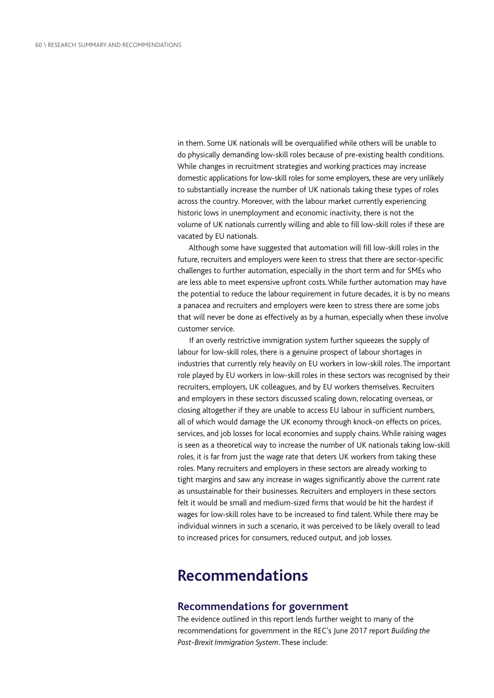in them. Some UK nationals will be overqualified while others will be unable to do physically demanding low-skill roles because of pre-existing health conditions. While changes in recruitment strategies and working practices may increase domestic applications for low-skill roles for some employers, these are very unlikely to substantially increase the number of UK nationals taking these types of roles across the country. Moreover, with the labour market currently experiencing historic lows in unemployment and economic inactivity, there is not the volume of UK nationals currently willing and able to fill low-skill roles if these are vacated by EU nationals.

Although some have suggested that automation will fill low-skill roles in the future, recruiters and employers were keen to stress that there are sector-specific challenges to further automation, especially in the short term and for SMEs who are less able to meet expensive upfront costs. While further automation may have the potential to reduce the labour requirement in future decades, it is by no means a panacea and recruiters and employers were keen to stress there are some jobs that will never be done as effectively as by a human, especially when these involve customer service.

If an overly restrictive immigration system further squeezes the supply of labour for low-skill roles, there is a genuine prospect of labour shortages in industries that currently rely heavily on EU workers in low-skill roles. The important role played by EU workers in low-skill roles in these sectors was recognised by their recruiters, employers, UK colleagues, and by EU workers themselves. Recruiters and employers in these sectors discussed scaling down, relocating overseas, or closing altogether if they are unable to access EU labour in sufficient numbers, all of which would damage the UK economy through knock-on effects on prices, services, and job losses for local economies and supply chains. While raising wages is seen as a theoretical way to increase the number of UK nationals taking low-skill roles, it is far from just the wage rate that deters UK workers from taking these roles. Many recruiters and employers in these sectors are already working to tight margins and saw any increase in wages significantly above the current rate as unsustainable for their businesses. Recruiters and employers in these sectors felt it would be small and medium-sized firms that would be hit the hardest if wages for low-skill roles have to be increased to find talent. While there may be individual winners in such a scenario, it was perceived to be likely overall to lead to increased prices for consumers, reduced output, and job losses.

## **Recommendations**

### **Recommendations for government**

The evidence outlined in this report lends further weight to many of the recommendations for government in the REC's June 2017 report *Building the Post-Brexit Immigration System*. These include: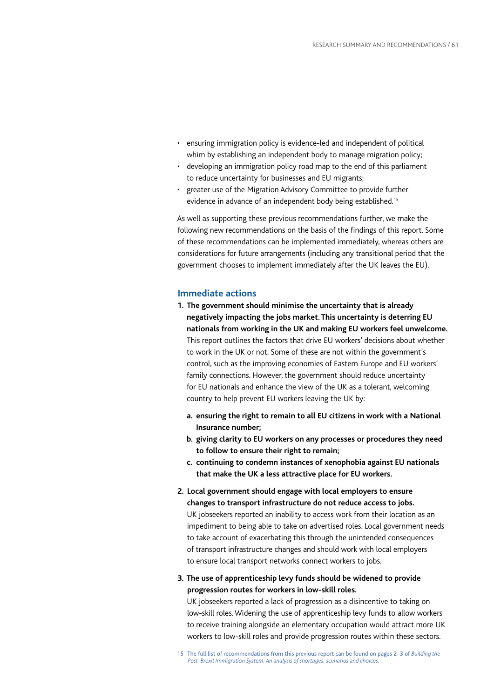- ensuring immigration policy is evidence-led and independent of political whim by establishing an independent body to manage migration policy;
- developing an immigration policy road map to the end of this parliament to reduce uncertainty for businesses and EU migrants;
- greater use of the Migration Advisory Committee to provide further evidence in advance of an independent body being established.<sup>15</sup>

As well as supporting these previous recommendations further, we make the following new recommendations on the basis of the findings of this report. Some of these recommendations can be implemented immediately, whereas others are considerations for future arrangements (including any transitional period that the government chooses to implement immediately after the UK leaves the EU).

### **Immediate actions**

- **1. The government should minimise the uncertainty that is already negatively impacting the jobs market. This uncertainty is deterring EU nationals from working in the UK and making EU workers feel unwelcome.** This report outlines the factors that drive EU workers' decisions about whether to work in the UK or not. Some of these are not within the government's control, such as the improving economies of Eastern Europe and EU workers' family connections. However, the government should reduce uncertainty for EU nationals and enhance the view of the UK as a tolerant, welcoming country to help prevent EU workers leaving the UK by:
	- **a. ensuring the right to remain to all EU citizens in work with a National Insurance number;**
	- **b. giving clarity to EU workers on any processes or procedures they need to follow to ensure their right to remain;**
	- **c. continuing to condemn instances of xenophobia against EU nationals that make the UK a less attractive place for EU workers.**
- **2. Local government should engage with local employers to ensure changes to transport infrastructure do not reduce access to jobs.** UK jobseekers reported an inability to access work from their location as an impediment to being able to take on advertised roles. Local government needs to take account of exacerbating this through the unintended consequences of transport infrastructure changes and should work with local employers to ensure local transport networks connect workers to jobs.
- **3. The use of apprenticeship levy funds should be widened to provide progression routes for workers in low-skill roles.**

UK jobseekers reported a lack of progression as a disincentive to taking on low-skill roles. Widening the use of apprenticeship levy funds to allow workers to receive training alongside an elementary occupation would attract more UK workers to low-skill roles and provide progression routes within these sectors.

<sup>15</sup> The full list of recommendations from this previous report can be found on pages 2–3 of *Building the Post-Brexit Immigration System: An analysis of shortages, scenarios and choices.*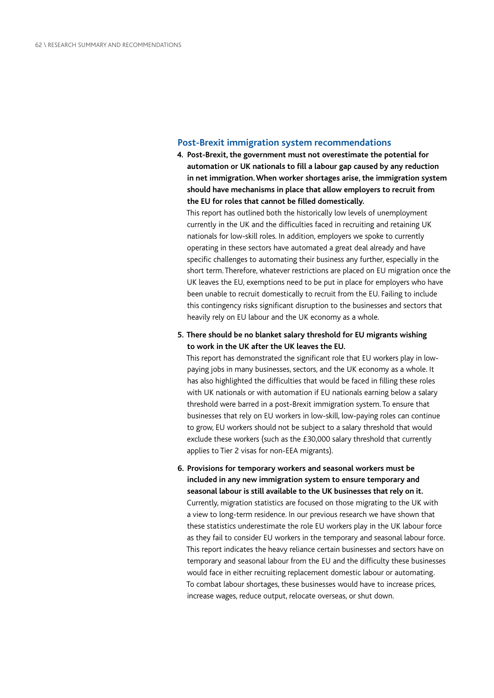### **Post-Brexit immigration system recommendations**

**4. Post-Brexit, the government must not overestimate the potential for automation or UK nationals to fill a labour gap caused by any reduction in net immigration. When worker shortages arise, the immigration system should have mechanisms in place that allow employers to recruit from the EU for roles that cannot be filled domestically.**

This report has outlined both the historically low levels of unemployment currently in the UK and the difficulties faced in recruiting and retaining UK nationals for low-skill roles. In addition, employers we spoke to currently operating in these sectors have automated a great deal already and have specific challenges to automating their business any further, especially in the short term. Therefore, whatever restrictions are placed on EU migration once the UK leaves the EU, exemptions need to be put in place for employers who have been unable to recruit domestically to recruit from the EU. Failing to include this contingency risks significant disruption to the businesses and sectors that heavily rely on EU labour and the UK economy as a whole.

### **5. There should be no blanket salary threshold for EU migrants wishing to work in the UK after the UK leaves the EU.**

This report has demonstrated the significant role that EU workers play in lowpaying jobs in many businesses, sectors, and the UK economy as a whole. It has also highlighted the difficulties that would be faced in filling these roles with UK nationals or with automation if EU nationals earning below a salary threshold were barred in a post-Brexit immigration system. To ensure that businesses that rely on EU workers in low-skill, low-paying roles can continue to grow, EU workers should not be subject to a salary threshold that would exclude these workers (such as the £30,000 salary threshold that currently applies to Tier 2 visas for non-EEA migrants).

**6. Provisions for temporary workers and seasonal workers must be included in any new immigration system to ensure temporary and seasonal labour is still available to the UK businesses that rely on it.** Currently, migration statistics are focused on those migrating to the UK with a view to long-term residence. In our previous research we have shown that these statistics underestimate the role EU workers play in the UK labour force as they fail to consider EU workers in the temporary and seasonal labour force. This report indicates the heavy reliance certain businesses and sectors have on temporary and seasonal labour from the EU and the difficulty these businesses would face in either recruiting replacement domestic labour or automating. To combat labour shortages, these businesses would have to increase prices, increase wages, reduce output, relocate overseas, or shut down.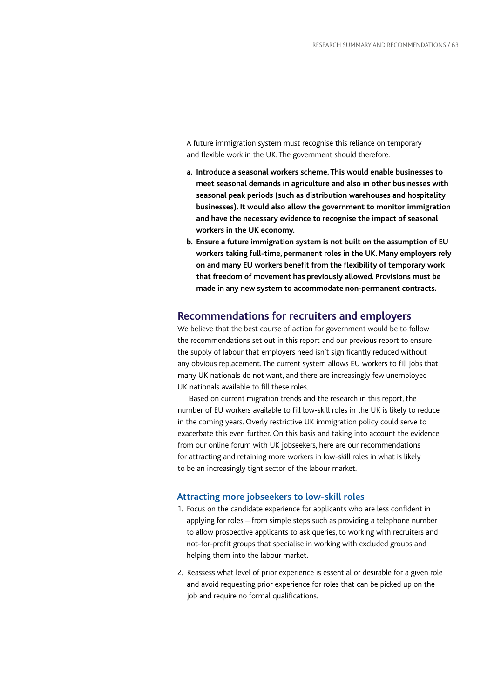A future immigration system must recognise this reliance on temporary and flexible work in the UK. The government should therefore:

- **a. Introduce a seasonal workers scheme. This would enable businesses to meet seasonal demands in agriculture and also in other businesses with seasonal peak periods (such as distribution warehouses and hospitality businesses). It would also allow the government to monitor immigration and have the necessary evidence to recognise the impact of seasonal workers in the UK economy.**
- **b. Ensure a future immigration system is not built on the assumption of EU workers taking full-time, permanent roles in the UK. Many employers rely on and many EU workers benefit from the flexibility of temporary work that freedom of movement has previously allowed. Provisions must be made in any new system to accommodate non-permanent contracts.**

### **Recommendations for recruiters and employers**

We believe that the best course of action for government would be to follow the recommendations set out in this report and our previous report to ensure the supply of labour that employers need isn't significantly reduced without any obvious replacement. The current system allows EU workers to fill jobs that many UK nationals do not want, and there are increasingly few unemployed UK nationals available to fill these roles.

Based on current migration trends and the research in this report, the number of EU workers available to fill low-skill roles in the UK is likely to reduce in the coming years. Overly restrictive UK immigration policy could serve to exacerbate this even further. On this basis and taking into account the evidence from our online forum with UK jobseekers, here are our recommendations for attracting and retaining more workers in low-skill roles in what is likely to be an increasingly tight sector of the labour market.

### **Attracting more jobseekers to low-skill roles**

- 1. Focus on the candidate experience for applicants who are less confident in applying for roles – from simple steps such as providing a telephone number to allow prospective applicants to ask queries, to working with recruiters and not-for-profit groups that specialise in working with excluded groups and helping them into the labour market.
- 2. Reassess what level of prior experience is essential or desirable for a given role and avoid requesting prior experience for roles that can be picked up on the job and require no formal qualifications.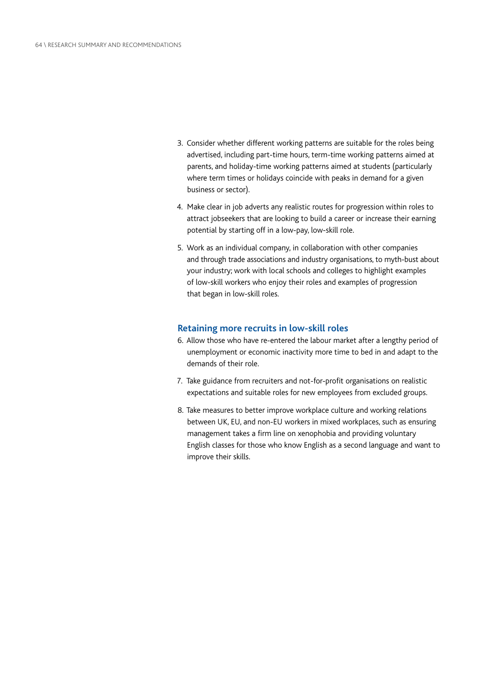- 3. Consider whether different working patterns are suitable for the roles being advertised, including part-time hours, term-time working patterns aimed at parents, and holiday-time working patterns aimed at students (particularly where term times or holidays coincide with peaks in demand for a given business or sector).
- 4. Make clear in job adverts any realistic routes for progression within roles to attract jobseekers that are looking to build a career or increase their earning potential by starting off in a low-pay, low-skill role.
- 5. Work as an individual company, in collaboration with other companies and through trade associations and industry organisations, to myth-bust about your industry; work with local schools and colleges to highlight examples of low-skill workers who enjoy their roles and examples of progression that began in low-skill roles.

### **Retaining more recruits in low-skill roles**

- 6. Allow those who have re-entered the labour market after a lengthy period of unemployment or economic inactivity more time to bed in and adapt to the demands of their role.
- 7. Take guidance from recruiters and not-for-profit organisations on realistic expectations and suitable roles for new employees from excluded groups.
- 8. Take measures to better improve workplace culture and working relations between UK, EU, and non-EU workers in mixed workplaces, such as ensuring management takes a firm line on xenophobia and providing voluntary English classes for those who know English as a second language and want to improve their skills.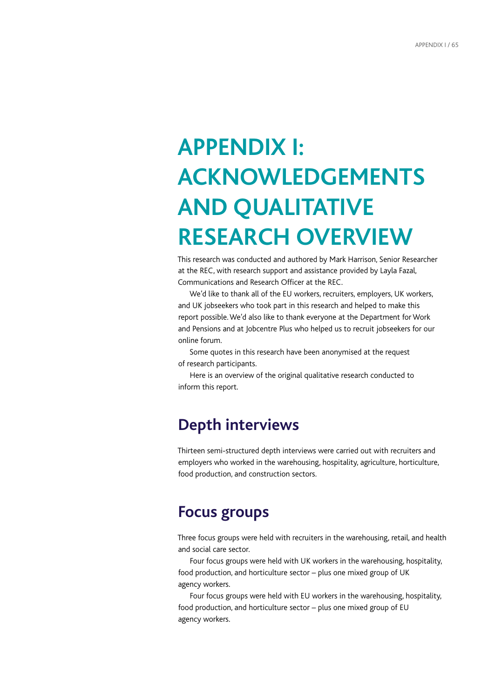# **APPENDIX I: ACKNOWLEDGEMENTS AND QUALITATIVE RESEARCH OVERVIEW**

This research was conducted and authored by Mark Harrison, Senior Researcher at the REC, with research support and assistance provided by Layla Fazal, Communications and Research Officer at the REC.

We'd like to thank all of the EU workers, recruiters, employers, UK workers, and UK jobseekers who took part in this research and helped to make this report possible. We'd also like to thank everyone at the Department for Work and Pensions and at Jobcentre Plus who helped us to recruit jobseekers for our online forum.

Some quotes in this research have been anonymised at the request of research participants.

Here is an overview of the original qualitative research conducted to inform this report.

# **Depth interviews**

Thirteen semi-structured depth interviews were carried out with recruiters and employers who worked in the warehousing, hospitality, agriculture, horticulture, food production, and construction sectors.

# **Focus groups**

Three focus groups were held with recruiters in the warehousing, retail, and health and social care sector.

Four focus groups were held with UK workers in the warehousing, hospitality, food production, and horticulture sector – plus one mixed group of UK agency workers.

Four focus groups were held with EU workers in the warehousing, hospitality, food production, and horticulture sector – plus one mixed group of EU agency workers.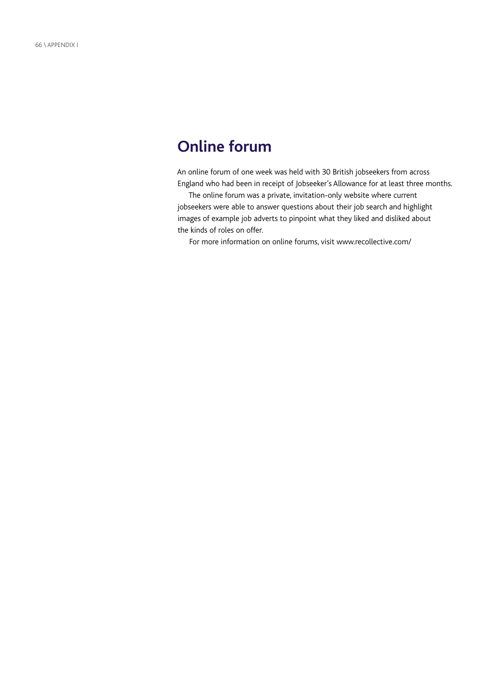# **Online forum**

An online forum of one week was held with 30 British jobseekers from across England who had been in receipt of Jobseeker's Allowance for at least three months.

The online forum was a private, invitation-only website where current jobseekers were able to answer questions about their job search and highlight images of example job adverts to pinpoint what they liked and disliked about the kinds of roles on offer.

For more information on online forums, visit [www.recollective.com/](http://www.recollective.com/)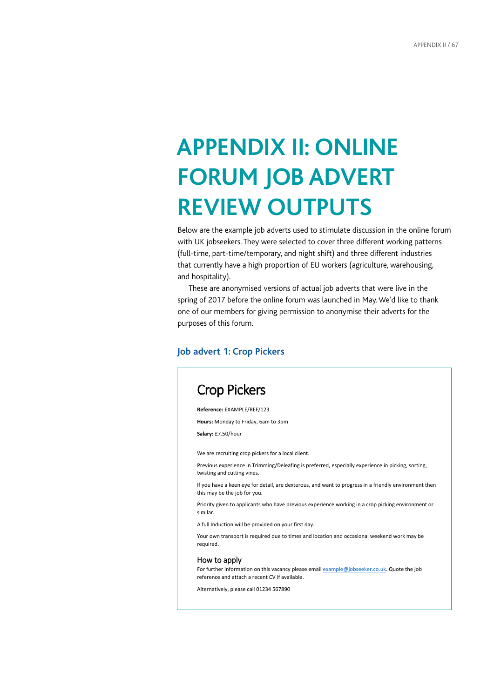# **APPENDIX II: ONLINE FORUM JOB ADVERT REVIEW OUTPUTS**

Below are the example job adverts used to stimulate discussion in the online forum with UK jobseekers. They were selected to cover three different working patterns (full-time, part-time/temporary, and night shift) and three different industries that currently have a high proportion of EU workers (agriculture, warehousing, and hospitality).

These are anonymised versions of actual job adverts that were live in the spring of 2017 before the online forum was launched in May. We'd like to thank one of our members for giving permission to anonymise their adverts for the purposes of this forum.

### **Job advert 1: Crop Pickers**

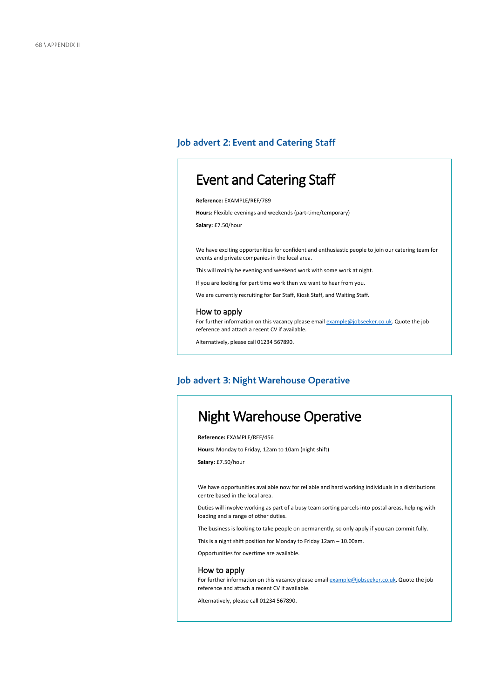### **Job advert 2: Event and Catering Staff**

# Event and Catering Staff

**Reference:** EXAMPLE/REF/789

**Hours:** Flexible evenings and weekends (part-time/temporary)

**Salary:** £7.50/hour

We have exciting opportunities for confident and enthusiastic people to join our catering team for events and private companies in the local area.

This will mainly be evening and weekend work with some work at night.

If you are looking for part time work then we want to hear from you.

We are currently recruiting for Bar Staff, Kiosk Staff, and Waiting Staff.

### How to apply

For further information on this vacancy please email example@jobseeker.co.uk. Quote the job reference and attach a recent CV if available.

Alternatively, please call 01234 567890.

### **Job advert 3: Night Warehouse Operative**

# Night Warehouse Operative

**Reference:** EXAMPLE/REF/456

**Hours:** Monday to Friday, 12am to 10am (night shift)

**Salary:** £7.50/hour

We have opportunities available now for reliable and hard working individuals in a distributions centre based in the local area.

Duties will involve working as part of a busy team sorting parcels into postal areas, helping with loading and a range of other duties.

The business is looking to take people on permanently, so only apply if you can commit fully.

This is a night shift position for Monday to Friday 12am – 10.00am.

Opportunities for overtime are available.

### How to apply

For further information on this vacancy please email **example@jobseeker.co.uk**. Quote the job reference and attach a recent CV if available.

Alternatively, please call 01234 567890.